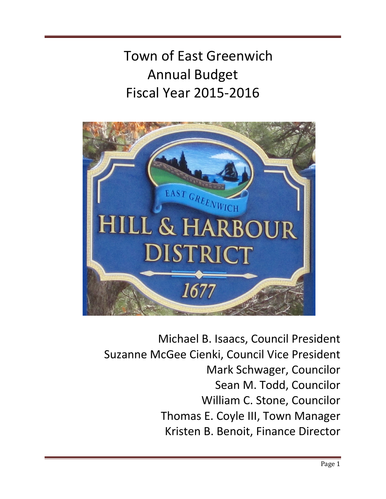Town of East Greenwich Annual Budget Fiscal Year 2015-2016

Budget Message for Fiscal Year 2016



Michael B. Isaacs, Council President Suzanne McGee Cienki, Council Vice President Mark Schwager, Councilor Sean M. Todd, Councilor William C. Stone, Councilor Thomas E. Coyle III, Town Manager Kristen B. Benoit, Finance Director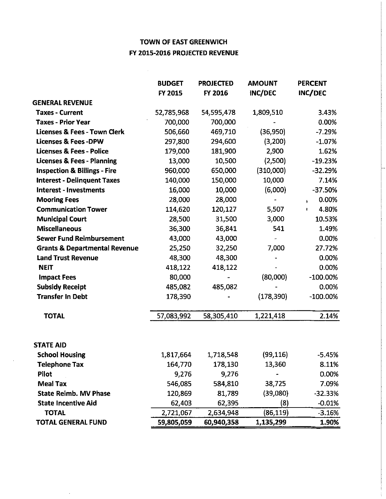# TOWN OF EAST GREENWICH FY 2015-2016 PROJECTED REVENUE

|                                          | <b>BUDGET</b> | <b>PROJECTED</b> | <b>AMOUNT</b> | <b>PERCENT</b>         |
|------------------------------------------|---------------|------------------|---------------|------------------------|
|                                          | FY 2015       | FY 2016          | INC/DEC       | INC/DEC                |
| <b>GENERAL REVENUE</b>                   |               |                  |               |                        |
| <b>Taxes - Current</b>                   | 52,785,968    | 54,595,478       | 1,809,510     | 3.43%                  |
| <b>Taxes - Prior Year</b>                | 700,000       | 700,000          |               | 0.00%                  |
| <b>Licenses &amp; Fees - Town Clerk</b>  | 506,660       | 469,710          | (36, 950)     | $-7.29%$               |
| <b>Licenses &amp; Fees-DPW</b>           | 297,800       | 294,600          | (3,200)       | $-1.07%$               |
| <b>Licenses &amp; Fees - Police</b>      | 179,000       | 181,900          | 2,900         | 1.62%                  |
| <b>Licenses &amp; Fees - Planning</b>    | 13,000        | 10,500           | (2,500)       | $-19.23%$              |
| <b>Inspection &amp; Billings - Fire</b>  | 960,000       | 650,000          | (310,000)     | $-32.29%$              |
| <b>Interest - Delinquent Taxes</b>       | 140,000       | 150,000          | 10,000        | 7.14%                  |
| <b>Interest - Investments</b>            | 16,000        | 10,000           | (6,000)       | $-37.50%$              |
| <b>Mooring Fees</b>                      | 28,000        | 28,000           | ۰             | 0.00%<br>$\frac{1}{2}$ |
| <b>Communication Tower</b>               | 114,620       | 120,127          | 5,507         | 4.80%<br>ŧ             |
| <b>Municipal Court</b>                   | 28,500        | 31,500           | 3,000         | 10.53%                 |
| <b>Miscellaneous</b>                     | 36,300        | 36,841           | 541           | 1.49%                  |
| <b>Sewer Fund Reimbursement</b>          | 43,000        | 43,000           |               | 0.00%                  |
| <b>Grants &amp; Departmental Revenue</b> | 25,250        | 32,250           | 7,000         | 27.72%                 |
| <b>Land Trust Revenue</b>                | 48,300        | 48,300           |               | 0.00%                  |
| <b>NEIT</b>                              | 418,122       | 418,122          |               | 0.00%                  |
| <b>Impact Fees</b>                       | 80,000        |                  | (80,000)      | $-100.00\%$            |
| <b>Subsidy Receipt</b>                   | 485,082       | 485,082          |               | 0.00%                  |
| <b>Transfer In Debt</b>                  | 178,390       |                  | (178, 390)    | $-100.00\%$            |
| <b>TOTAL</b>                             | 57,083,992    | 58,305,410       | 1,221,418     | 2.14%                  |
| <b>STATE AID</b>                         |               |                  |               |                        |
| <b>School Housing</b>                    | 1,817,664     | 1,718,548        | (99, 116)     | $-5.45%$               |
| Telephone Tax                            | 164,770       | 178,130          | 13,360        | 8.11%                  |
| Pilot                                    | 9,276         | 9,276            |               | 0.00%                  |
| <b>Meal Tax</b>                          | 546,085       | 584,810          | 38,725        | 7.09%                  |
| <b>State Reimb. MV Phase</b>             | 120,869       | 81,789           | (39,080)      | $-32.33%$              |
| <b>State Incentive Aid</b>               | 62,403        | 62,395           | (8)           | $-0.01%$               |
| <b>TOTAL</b>                             | 2,721,067     | 2,634,948        | (86, 119)     | $-3.16%$               |
| <b>TOTAL GENERAL FUND</b>                | 59,805,059    | 60,940,358       | 1,135,299     | 1.90%                  |

 $\sim$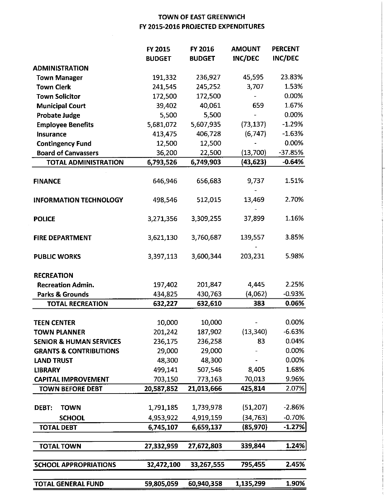# TOWN OF EAST GREENWICH FY 2015-2016 PROJECTED EXPENDITURES

|                                    | FY 2015       | FY 2016       | <b>AMOUNT</b> | <b>PERCENT</b> |
|------------------------------------|---------------|---------------|---------------|----------------|
|                                    | <b>BUDGET</b> | <b>BUDGET</b> | INC/DEC       | <b>INC/DEC</b> |
| <b>ADMINISTRATION</b>              |               |               |               |                |
| <b>Town Manager</b>                | 191,332       | 236,927       | 45,595        | 23.83%         |
| <b>Town Clerk</b>                  | 241,545       | 245,252       | 3,707         | 1.53%          |
| <b>Town Solicitor</b>              | 172,500       | 172,500       |               | 0.00%          |
| <b>Municipal Court</b>             | 39,402        | 40,061        | 659           | 1.67%          |
| <b>Probate Judge</b>               | 5,500         | 5,500         |               | 0.00%          |
| <b>Employee Benefits</b>           | 5,681,072     | 5,607,935     | (73, 137)     | $-1.29%$       |
| <b>Insurance</b>                   | 413,475       | 406,728       | (6,747)       | $-1.63%$       |
| <b>Contingency Fund</b>            | 12,500        | 12,500        |               | 0.00%          |
| <b>Board of Canvassers</b>         | 36,200        | 22,500        | (13,700)      | $-37.85%$      |
| <b>TOTAL ADMINISTRATION</b>        | 6,793,526     | 6,749,903     | (43, 623)     | $-0.64%$       |
|                                    |               |               |               |                |
| <b>FINANCE</b>                     | 646,946       | 656,683       | 9,737         | 1.51%          |
| <b>INFORMATION TECHNOLOGY</b>      | 498,546       | 512,015       | 13,469        | 2.70%          |
| <b>POLICE</b>                      | 3,271,356     | 3,309,255     | 37,899        | 1.16%          |
| <b>FIRE DEPARTMENT</b>             | 3,621,130     | 3,760,687     | 139,557       | 3.85%          |
| <b>PUBLIC WORKS</b>                | 3,397,113     | 3,600,344     | 203,231       | 5.98%          |
| <b>RECREATION</b>                  |               |               |               |                |
| <b>Recreation Admin.</b>           | 197,402       | 201,847       | 4,445         | 2.25%          |
| Parks & Grounds                    | 434,825       | 430,763       | (4,062)       | -0.93%         |
| <b>TOTAL RECREATION</b>            | 632,227       | 632,610       | 383           | 0.06%          |
|                                    |               |               |               |                |
| <b>TEEN CENTER</b>                 | 10,000        | 10,000        |               | 0.00%          |
| <b>TOWN PLANNER</b>                | 201,242       | 187,902       | (13, 340)     | $-6.63%$       |
| <b>SENIOR &amp; HUMAN SERVICES</b> | 236,175       | 236,258       | 83            | 0.04%          |
| <b>GRANTS &amp; CONTRIBUTIONS</b>  | 29,000        | 29,000        |               | 0.00%          |
| <b>LAND TRUST</b>                  | 48,300        | 48,300        |               | 0.00%          |
| <b>LIBRARY</b>                     | 499,141       | 507,546       | 8,405         | 1.68%          |
| <b>CAPITAL IMPROVEMENT</b>         | 703,150       | 773,163       | 70,013        | 9.96%          |
| <b>TOWN BEFORE DEBT</b>            | 20,587,852    | 21,013,666    | 425,814       | 2.07%          |
| <b>TOWN</b><br>DEBT:               | 1,791,185     | 1,739,978     | (51, 207)     | $-2.86%$       |
| <b>SCHOOL</b>                      | 4,953,922     | 4,919,159     | (34, 763)     | $-0.70%$       |
| <b>TOTAL DEBT</b>                  | 6,745,107     | 6,659,137     | (85, 970)     | $-1.27%$       |
| <b>TOTAL TOWN</b>                  | 27,332,959    | 27,672,803    | 339,844       | 1.24%          |
| <b>SCHOOL APPROPRIATIONS</b>       | 32,472,100    | 33,267,555    | 795,455       | 2.45%          |
| <b>TOTAL GENERAL FUND</b>          | 59,805,059    | 60,940,358    | 1,135,299     | 1.90%          |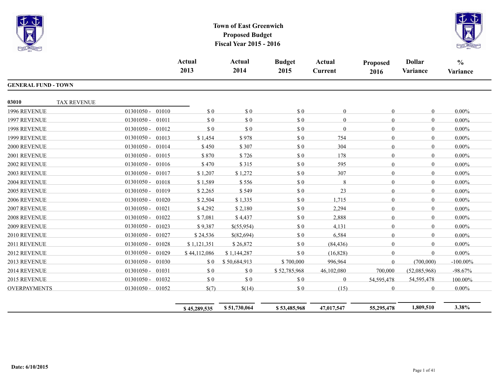



|                            |                    |                       | <b>Actual</b><br>2013 | <b>Actual</b><br>2014 | <b>Budget</b><br>2015       | <b>Actual</b><br><b>Current</b> | <b>Proposed</b><br>2016 | <b>Dollar</b><br>Variance | $\frac{0}{0}$<br>Variance |
|----------------------------|--------------------|-----------------------|-----------------------|-----------------------|-----------------------------|---------------------------------|-------------------------|---------------------------|---------------------------|
| <b>GENERAL FUND - TOWN</b> |                    |                       |                       |                       |                             |                                 |                         |                           |                           |
| 03010                      | <b>TAX REVENUE</b> |                       |                       |                       |                             |                                 |                         |                           |                           |
| 1996 REVENUE               |                    | 01301050 - 01010      | \$0                   | \$0                   | $\Omega$                    | $\theta$                        | $\theta$                | $\overline{0}$            | $0.00\%$                  |
| 1997 REVENUE               |                    | $01301050 -$<br>01011 | \$0                   | \$0                   | \$0                         | $\theta$                        | $\overline{0}$          | $\overline{0}$            | $0.00\%$                  |
| 1998 REVENUE               |                    | $01301050 -$<br>01012 | \$0                   | \$0                   | \$0                         | $\theta$                        | $\theta$                | $\overline{0}$            | $0.00\%$                  |
| 1999 REVENUE               |                    | $01301050 -$<br>01013 | \$1,454               | \$978                 | \$0                         | 754                             | $\theta$                | $\theta$                  | $0.00\%$                  |
| 2000 REVENUE               |                    | 01301050 - 01014      | \$450                 | \$307                 | $\boldsymbol{\mathsf{S}}$ 0 | 304                             | $\theta$                | $\Omega$                  | $0.00\%$                  |
| 2001 REVENUE               |                    | $01301050 -$<br>01015 | \$870                 | \$726                 | \$0                         | 178                             | $\theta$                | $\theta$                  | $0.00\%$                  |
| 2002 REVENUE               |                    | $01301050 -$<br>01016 | \$470                 | \$315                 | \$0                         | 595                             | $\theta$                | $\overline{0}$            | $0.00\%$                  |
| 2003 REVENUE               |                    | 01301050 - 01017      | \$1,207               | \$1,272               | $\$$ 0                      | 307                             | $\mathbf{0}$            | $\boldsymbol{0}$          | $0.00\%$                  |
| 2004 REVENUE               |                    | $01301050 -$<br>01018 | \$1,589               | \$556                 | \$0                         | 8                               | $\mathbf{0}$            | $\overline{0}$            | $0.00\%$                  |
| 2005 REVENUE               |                    | $01301050 -$<br>01019 | \$2,265               | \$549                 | \$0                         | 23                              | $\theta$                | $\overline{0}$            | $0.00\%$                  |
| 2006 REVENUE               |                    | $01301050 -$<br>01020 | \$2,504               | \$1,335               | \$0                         | 1,715                           | $\mathbf{0}$            | $\theta$                  | $0.00\%$                  |
| 2007 REVENUE               |                    | $01301050 -$<br>01021 | \$4,292               | \$2,180               | $\$$ 0                      | 2,294                           | $\overline{0}$          | $\boldsymbol{0}$          | $0.00\%$                  |
| 2008 REVENUE               |                    | $01301050 -$<br>01022 | \$7,081               | \$4,437               | \$0                         | 2,888                           | $\mathbf{0}$            | $\overline{0}$            | $0.00\%$                  |
| 2009 REVENUE               |                    | $01301050 -$<br>01023 | \$9,387               | \$(55,954)            | \$0                         | 4,131                           | $\theta$                | $\theta$                  | $0.00\%$                  |
| 2010 REVENUE               |                    | $01301050 -$<br>01027 | \$24,536              | $$$ (82,694)          | \$0                         | 6,584                           | $\mathbf{0}$            | $\overline{0}$            | $0.00\%$                  |
| 2011 REVENUE               |                    | $01301050 -$<br>01028 | \$1,121,351           | \$26,872              | \$0                         | (84, 436)                       | $\mathbf{0}$            | $\theta$                  | $0.00\%$                  |
| 2012 REVENUE               |                    | $01301050 -$<br>01029 | \$44,112,086          | \$1,144,287           | $\Omega$                    | (16,828)                        | $\overline{0}$          | $\overline{0}$            | $0.00\%$                  |
| 2013 REVENUE               |                    | 01301050 - 01030      | \$0                   | \$50,684,913          | \$700,000                   | 996,964                         | $\mathbf{0}$            | (700,000)                 | $-100.00\%$               |
| 2014 REVENUE               |                    | $01301050 -$<br>01031 | \$0                   | $\$$ 0                | \$52,785,968                | 46,102,080                      | 700,000                 | (52,085,968)              | $-98.67%$                 |
| 2015 REVENUE               |                    | 01301050 - 01032      | \$0                   | \$0                   | \$0                         | $\overline{0}$                  | 54,595,478              | 54,595,478                | 100.00%                   |
| OVERPAYMENTS               |                    | 01301050 - 01052      | \$(7)                 | \$(14)                | \$0                         | (15)                            | $\mathbf{0}$            | $\overline{0}$            | $0.00\%$                  |
|                            |                    |                       | \$45,289,535          | \$51,730,064          | \$53,485,968                | 47,017,547                      | 55,295,478              | 1,809,510                 | 3.38%                     |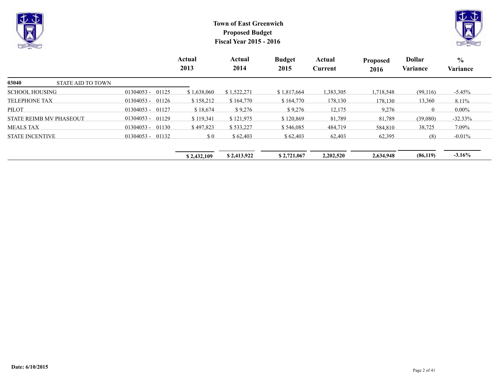



|                                   |                       | Actual<br>2013 | Actual<br>2014 | <b>Budget</b><br>2015 | Actual<br>Current | <b>Proposed</b><br>2016 | <b>Dollar</b><br>Variance | $\frac{0}{0}$<br>Variance |
|-----------------------------------|-----------------------|----------------|----------------|-----------------------|-------------------|-------------------------|---------------------------|---------------------------|
| 03040<br><b>STATE AID TO TOWN</b> |                       |                |                |                       |                   |                         |                           |                           |
| <b>SCHOOL HOUSING</b>             | 01125<br>$01304053 -$ | \$1,638,060    | \$1,522,271    | \$1,817,664           | 1,383,305         | 1,718,548               | (99,116)                  | $-5.45%$                  |
| <b>TELEPHONE TAX</b>              | 01126<br>$01304053 -$ | \$158,212      | \$164,770      | \$164,770             | 178,130           | 178,130                 | 13,360                    | 8.11%                     |
| <b>PILOT</b>                      | 01127<br>$01304053 -$ | \$18,674       | \$9,276        | \$9,276               | 12,175            | 9,276                   | $\overline{0}$            | $0.00\%$                  |
| <b>STATE REIMB MV PHASEOUT</b>    | $01304053 -$<br>01129 | \$119,341      | \$121,975      | \$120,869             | 81,789            | 81,789                  | (39,080)                  | $-32.33%$                 |
| <b>MEALS TAX</b>                  | $01304053 -$<br>01130 | \$497,823      | \$533,227      | \$546,085             | 484,719           | 584,810                 | 38,725                    | 7.09%                     |
| <b>STATE INCENTIVE</b>            | $01304053 -$<br>01132 | \$0            | \$62,403       | \$62,403              | 62,403            | 62,395                  | (8)                       | $-0.01\%$                 |
|                                   |                       | \$2,432,109    | \$2,413,922    | \$2,721,067           | 2,202,520         | 2,634,948               | (86, 119)                 | $-3.16%$                  |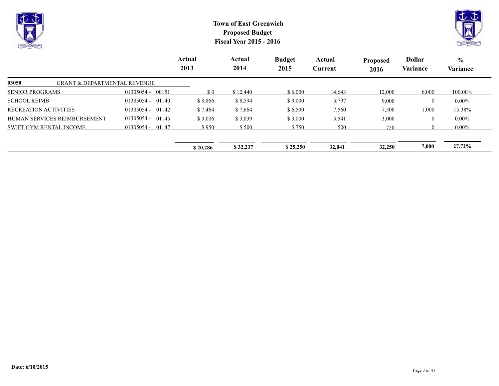



|                                                  |                    | Actual<br>2013 | Actual<br>2014 | <b>Budget</b><br>2015 | Actual<br>Current | <b>Proposed</b><br>2016 | <b>Dollar</b><br>Variance | $\frac{6}{9}$<br>Variance |
|--------------------------------------------------|--------------------|----------------|----------------|-----------------------|-------------------|-------------------------|---------------------------|---------------------------|
| 03050<br><b>GRANT &amp; DEPARTMENTAL REVENUE</b> |                    |                |                |                       |                   |                         |                           |                           |
| <b>SENIOR PROGRAMS</b>                           | 01305054 - 00151   | $\Omega$       | \$12,440       | \$6,000               | 14,643            | 12,000                  | 6,000                     | 100.00%                   |
| <b>SCHOOL REIMB</b>                              | $01305054 - 01140$ | \$8,866        | \$8,594        | \$9,000               | 5,797             | 9,000                   | $\Omega$                  | $0.00\%$                  |
| <b>RECREATION ACTIVITIES</b>                     | $01305054 - 01142$ | \$7,464        | \$7,664        | \$6,500               | 7,560             | 7,500                   | 1,000                     | 15.38%                    |
| HUMAN SERVICES REIMBURSEMENT                     | $01305054 - 01145$ | \$3,006        | \$3,039        | \$3,000               | 3,541             | 3,000                   | $\Omega$                  | $0.00\%$                  |
| <b>SWIFT GYM RENTAL INCOME</b>                   | $01305054 - 01147$ | \$950          | \$500          | \$750                 | 500               | 750                     | $\Omega$                  | $0.00\%$                  |
|                                                  |                    |                |                |                       |                   |                         |                           |                           |
|                                                  |                    | \$20,286       | \$32,237       | \$25,250              | 32,041            | 32,250                  | 7,000                     | 27.72%                    |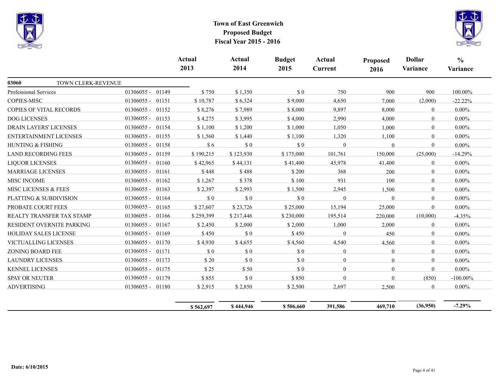



|                                |                       | Actual<br>2013 | <b>Actual</b><br>2014 | <b>Budget</b><br>2015 | Actual<br><b>Current</b> | <b>Proposed</b><br>2016 | <b>Dollar</b><br>Variance | $\frac{0}{0}$<br>Variance |
|--------------------------------|-----------------------|----------------|-----------------------|-----------------------|--------------------------|-------------------------|---------------------------|---------------------------|
| 03060<br>TOWN CLERK-REVENUE    |                       |                |                       |                       |                          |                         |                           |                           |
| Professional Services          | 01306055 - 01149      | \$750          | \$1,350               | \$0                   | 750                      | 900                     | 900                       | 100.00%                   |
| <b>COPIES-MISC</b>             | $01306055 -$<br>01151 | \$10,787       | \$6,324               | \$9,000               | 4,650                    | 7,000                   | (2,000)                   | $-22.22%$                 |
| <b>COPIES OF VITAL RECORDS</b> | $01306055 -$<br>01152 | \$8,276        | \$7,989               | \$8,000               | 9,897                    | 8,000                   | $\overline{0}$            | $0.00\%$                  |
| <b>DOG LICENSES</b>            | $01306055 -$<br>01153 | \$4,275        | \$3,995               | \$4,000               | 2,990                    | 4,000                   | $\theta$                  | $0.00\%$                  |
| <b>DRAIN LAYERS' LICENSES</b>  | 01154<br>$01306055 -$ | \$1,100        | \$1,200               | \$1,000               | 1,050                    | 1,000                   | $\overline{0}$            | $0.00\%$                  |
| ENTERTAINMENT LICENSES         | 01306055 -<br>01155   | \$1,560        | \$1,440               | \$1,100               | 1,320                    | 1,100                   | $\overline{0}$            | $0.00\%$                  |
| <b>HUNTING &amp; FISHING</b>   | $01306055 -$<br>01158 | \$6            | \$0                   | \$0                   | $\Omega$                 | $\Omega$                | $\mathbf{0}$              | $0.00\%$                  |
| <b>LAND RECORDING FEES</b>     | $01306055 - 01159$    | \$190,215      | \$123,930             | \$175,000             | 101,761                  | 150,000                 | (25,000)                  | $-14.29%$                 |
| <b>LIQUOR LICENSES</b>         | $01306055 -$<br>01160 | \$42,965       | \$44,131              | \$41,400              | 45,978                   | 41,400                  | $\overline{0}$            | $0.00\%$                  |
| <b>MARRIAGE LICENSES</b>       | 01306055 - 01161      | \$448          | \$488                 | \$200                 | 368                      | 200                     | $\overline{0}$            | $0.00\%$                  |
| MISC INCOME                    | $01306055 -$<br>01162 | \$1,267        | \$378                 | \$100                 | 931                      | 100                     | $\Omega$                  | $0.00\%$                  |
| MISC LICENSES & FEES           | $01306055 -$<br>01163 | \$2,397        | \$2,993               | \$1,500               | 2,945                    | 1,500                   | $\mathbf{0}$              | $0.00\%$                  |
| PLATTING & SUBDIVISION         | $01306055 -$<br>01164 | \$0            | \$0                   | \$0                   | $\mathbf{0}$             | $\Omega$                | $\overline{0}$            | $0.00\%$                  |
| PROBATE COURT FEES             | $01306055 -$<br>01165 | \$27,607       | \$23,726              | \$25,000              | 15,194                   | 25,000                  | $\Omega$                  | $0.00\%$                  |
| REALTY TRANSFER TAX STAMP      | 01306055 - 01166      | \$259,399      | \$217,446             | \$230,000             | 195,514                  | 220,000                 | (10,000)                  | $-4.35%$                  |
| RESIDENT OVERNITE PARKING      | $01306055 -$<br>01167 | \$2,450        | \$2,000               | \$2,000               | 1,000                    | 2,000                   | $\mathbf{0}$              | $0.00\%$                  |
| HOLIDAY SALES LICENSE          | $01306055 -$<br>01169 | \$450          | \$0                   | \$450                 | $\theta$                 | 450                     | $\overline{0}$            | $0.00\%$                  |
| VICTUALLING LICENSES           | 01170<br>$01306055 -$ | \$4,930        | \$4,655               | \$4,560               | 4,540                    | 4,560                   | $\overline{0}$            | $0.00\%$                  |
| <b>ZONING BOARD FEE</b>        | $01306055 -$<br>01171 | \$0            | \$0                   | \$0                   | $\theta$                 | $\theta$                | $\mathbf{0}$              | $0.00\%$                  |
| <b>LAUNDRY LICENSES</b>        | 01306055 - 01173      | \$20           | \$0                   | \$0                   | $\theta$                 | $\theta$                | $\mathbf{0}$              | $0.00\%$                  |
| <b>KENNEL LICENSES</b>         | 01306055 - 01175      | \$25           | \$50                  | \$0                   | $\Omega$                 | $\Omega$                | $\Omega$                  | $0.00\%$                  |
| <b>SPAY OR NEUTER</b>          | 01306055 - 01179      | \$855          | \$0                   | \$850                 | $\theta$                 | $\Omega$                | (850)                     | $-100.00\%$               |
| <b>ADVERTISING</b>             | 01306055 - 01180      | \$2,915        | \$2,850               | \$2,500               | 2,697                    | 2,500                   | $\overline{0}$            | $0.00\%$                  |
|                                |                       | \$562,697      | \$444,946             | \$506,660             | 391,586                  | 469,710                 | (36,950)                  | $-7.29%$                  |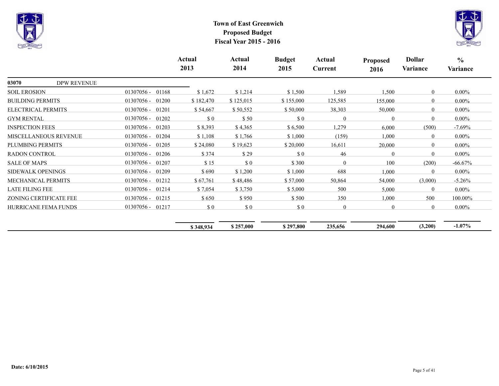



|                              |                    |                       | Actual<br>2013 | Actual<br>2014 | <b>Budget</b><br>2015 | Actual<br>Current | <b>Proposed</b><br>2016 | <b>Dollar</b><br>Variance | $\frac{6}{6}$<br>Variance |
|------------------------------|--------------------|-----------------------|----------------|----------------|-----------------------|-------------------|-------------------------|---------------------------|---------------------------|
| 03070                        | <b>DPW REVENUE</b> |                       |                |                |                       |                   |                         |                           |                           |
| <b>SOIL EROSION</b>          |                    | 01168<br>01307056 -   | \$1,672        | \$1,214        | \$1,500               | 1,589             | 1,500                   | $\mathbf{0}$              | $0.00\%$                  |
| <b>BUILDING PERMITS</b>      |                    | 01307056 -<br>01200   | \$182,470      | \$125,015      | \$155,000             | 125,585           | 155,000                 | $\theta$                  | $0.00\%$                  |
| ELECTRICAL PERMITS           |                    | 01201<br>01307056 -   | \$54,667       | \$50,552       | \$50,000              | 38,303            | 50,000                  | $\overline{0}$            | $0.00\%$                  |
| <b>GYM RENTAL</b>            |                    | $01307056 -$<br>01202 | $\Omega$       | \$50           | \$0                   | $\theta$          | $\Omega$                | $\theta$                  | $0.00\%$                  |
| <b>INSPECTION FEES</b>       |                    | $01307056 -$<br>01203 | \$8,393        | \$4,365        | \$6,500               | 1,279             | 6,000                   | (500)                     | $-7.69%$                  |
| <b>MISCELLANEOUS REVENUE</b> |                    | 01307056 -<br>01204   | \$1,108        | \$1,766        | \$1,000               | (159)             | 1,000                   | $\theta$                  | $0.00\%$                  |
| PLUMBING PERMITS             |                    | 01307056 -<br>01205   | \$24,080       | \$19,623       | \$20,000              | 16,611            | 20,000                  | $\overline{0}$            | $0.00\%$                  |
| <b>RADON CONTROL</b>         |                    | $01307056 -$<br>01206 | \$374          | \$29           | $\Omega$              | 46                | $\Omega$                | $\theta$                  | $0.00\%$                  |
| <b>SALE OF MAPS</b>          |                    | $01307056 -$<br>01207 | \$15           | \$0            | \$300                 | $\theta$          | 100                     | (200)                     | $-66.67%$                 |
| SIDEWALK OPENINGS            |                    | 01307056 -<br>01209   | \$690          | \$1,200        | \$1,000               | 688               | 1,000                   | $\theta$                  | $0.00\%$                  |
| MECHANICAL PERMITS           |                    | $01307056 -$<br>01212 | \$67,761       | \$48,486       | \$57,000              | 50,864            | 54,000                  | (3,000)                   | $-5.26%$                  |
| <b>LATE FILING FEE</b>       |                    | 01214<br>$01307056 -$ | \$7,054        | \$3,750        | \$5,000               | 500               | 5,000                   | $\theta$                  | $0.00\%$                  |
| ZONING CERTIFICATE FEE       |                    | 01215<br>$01307056 -$ | \$650          | \$950          | \$500                 | 350               | 1,000                   | 500                       | 100.00%                   |
| HURRICANE FEMA FUNDS         |                    | 01217<br>$01307056 -$ | \$0            | \$0            | \$0                   | $\overline{0}$    | $\theta$                | $\overline{0}$            | $0.00\%$                  |
|                              |                    |                       | \$348,934      | \$257,000      | \$297,800             | 235,656           | 294,600                 | (3,200)                   | $-1.07\%$                 |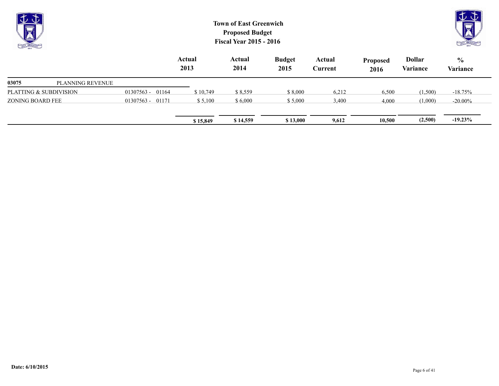| $\overline{\Psi}$<br><b>CALL CALLED</b> |                  |                  |                | <b>Town of East Greenwich</b><br><b>Proposed Budget</b><br><b>Fiscal Year 2015 - 2016</b> |                       |                          |                         |                           |                           |
|-----------------------------------------|------------------|------------------|----------------|-------------------------------------------------------------------------------------------|-----------------------|--------------------------|-------------------------|---------------------------|---------------------------|
|                                         |                  |                  | Actual<br>2013 | Actual<br>2014                                                                            | <b>Budget</b><br>2015 | Actual<br><b>Current</b> | <b>Proposed</b><br>2016 | <b>Dollar</b><br>Variance | $\frac{0}{0}$<br>Variance |
| 03075                                   | PLANNING REVENUE |                  |                |                                                                                           |                       |                          |                         |                           |                           |
| PLATTING & SUBDIVISION                  |                  | 01307563 - 01164 | \$10,749       | \$8,559                                                                                   | \$8,000               | 6,212                    | 6,500                   | (1,500)                   | $-18.75%$                 |
| ZONING BOARD FEE                        |                  | 01307563 - 01171 | \$5,100        | \$6,000                                                                                   | \$5,000               | 3,400                    | 4,000                   | (1,000)                   | $-20.00\%$                |
|                                         |                  |                  | \$15,849       | \$14,559                                                                                  | \$13,000              | 9,612                    | 10,500                  | (2,500)                   | $-19.23\%$                |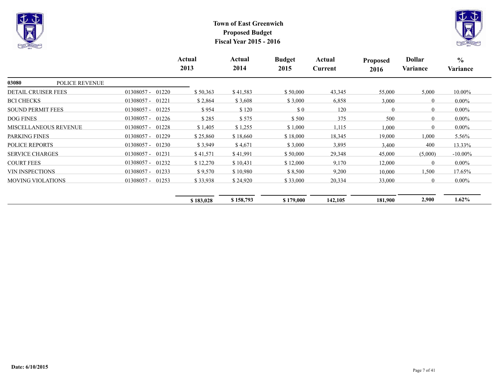



|                                |                       | Actual<br>2013 | Actual<br>2014 | <b>Budget</b><br>2015 | Actual<br>Current | Proposed<br>2016 | <b>Dollar</b><br>Variance | $\frac{0}{0}$<br>Variance |
|--------------------------------|-----------------------|----------------|----------------|-----------------------|-------------------|------------------|---------------------------|---------------------------|
| 03080<br><b>POLICE REVENUE</b> |                       |                |                |                       |                   |                  |                           |                           |
| <b>DETAIL CRUISER FEES</b>     | $01308057 -$<br>01220 | \$50,363       | \$41,583       | \$50,000              | 43,345            | 55,000           | 5,000                     | 10.00%                    |
| <b>BCI CHECKS</b>              | $01308057 -$<br>01221 | \$2,864        | \$3,608        | \$3,000               | 6,858             | 3,000            | $\theta$                  | $0.00\%$                  |
| <b>SOUND PERMIT FEES</b>       | $01308057 -$<br>01225 | \$954          | \$120          | \$0                   | 120               | $\theta$         | $\theta$                  | $0.00\%$                  |
| <b>DOG FINES</b>               | $01308057 -$<br>01226 | \$285          | \$575          | \$500                 | 375               | 500              | $\theta$                  | $0.00\%$                  |
| <b>MISCELLANEOUS REVENUE</b>   | $01308057 -$<br>01228 | \$1,405        | \$1,255        | \$1,000               | 1,115             | 1,000            | $\theta$                  | $0.00\%$                  |
| PARKING FINES                  | $01308057 -$<br>01229 | \$25,860       | \$18,660       | \$18,000              | 18,345            | 19,000           | 1,000                     | $5.56\%$                  |
| <b>POLICE REPORTS</b>          | $01308057 -$<br>01230 | \$3,949        | \$4,671        | \$3,000               | 3,895             | 3,400            | 400                       | 13.33%                    |
| <b>SERVICE CHARGES</b>         | 01308057 -<br>01231   | \$41,571       | \$41,991       | \$50,000              | 29,348            | 45,000           | (5,000)                   | $-10.00\%$                |
| <b>COURT FEES</b>              | $01308057 -$<br>01232 | \$12,270       | \$10,431       | \$12,000              | 9,170             | 12,000           | $\theta$                  | $0.00\%$                  |
| <b>VIN INSPECTIONS</b>         | $01308057 -$<br>01233 | \$9,570        | \$10,980       | \$8,500               | 9,200             | 10,000           | 1,500                     | 17.65%                    |
| <b>MOVING VIOLATIONS</b>       | 01253<br>$01308057 -$ | \$33,938       | \$24,920       | \$33,000              | 20,334            | 33,000           | $\theta$                  | $0.00\%$                  |
|                                |                       | \$183,028      | \$158,793      | \$179,000             | 142,105           | 181,900          | 2,900                     | $1.62\%$                  |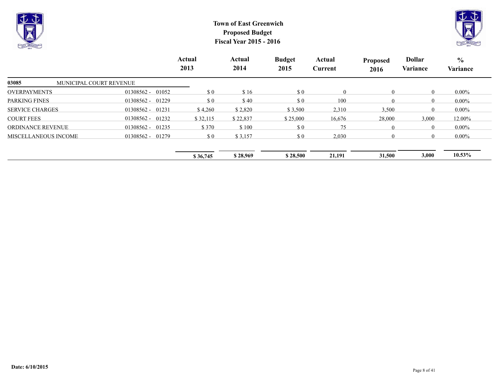



|                                  |                    | Actual<br>2013 | Actual<br>2014 | <b>Budget</b><br>2015 | Actual<br>Current | <b>Proposed</b><br>2016 | <b>Dollar</b><br>Variance | $\frac{6}{10}$<br>Variance |
|----------------------------------|--------------------|----------------|----------------|-----------------------|-------------------|-------------------------|---------------------------|----------------------------|
| 03085<br>MUNICIPAL COURT REVENUE |                    |                |                |                       |                   |                         |                           |                            |
| <b>OVERPAYMENTS</b>              | $01308562 - 01052$ | \$0            | \$16           | \$0                   | $\overline{0}$    | $\mathbf{0}$            | $\overline{0}$            | $0.00\%$                   |
| <b>PARKING FINES</b>             | $01308562 - 01229$ | \$0            | \$40           | \$0                   | 100               | $\theta$                | $\theta$                  | $0.00\%$                   |
| <b>SERVICE CHARGES</b>           | $01308562 - 01231$ | \$4,260        | \$2,820        | \$3,500               | 2,310             | 3,500                   | $\overline{0}$            | $0.00\%$                   |
| <b>COURT FEES</b>                | 01308562 - 01232   | \$32,115       | \$22,837       | \$25,000              | 16,676            | 28,000                  | 3,000                     | 12.00%                     |
| <b>ORDINANCE REVENUE</b>         | $01308562 - 01235$ | \$370          | \$100          | \$0                   | 75                | $\theta$                | $\Omega$                  | $0.00\%$                   |
| MISCELLANEOUS INCOME             | $01308562 - 01279$ | \$0            | \$3,157        | \$0                   | 2,030             | $\theta$                | $\Omega$                  | $0.00\%$                   |
|                                  |                    | \$36,745       | \$28,969       | \$28,500              | 21,191            | 31,500                  | 3,000                     | $10.53\%$                  |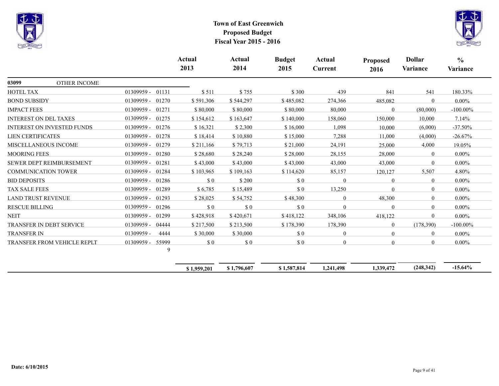



|                                    |                          | Actual<br>2013                                   | Actual<br>2014                                   | <b>Budget</b><br>2015                            | Actual<br>Current | <b>Proposed</b><br>2016 | <b>Dollar</b><br>Variance | $\frac{0}{0}$<br>Variance |
|------------------------------------|--------------------------|--------------------------------------------------|--------------------------------------------------|--------------------------------------------------|-------------------|-------------------------|---------------------------|---------------------------|
| 03099<br><b>OTHER INCOME</b>       |                          |                                                  |                                                  |                                                  |                   |                         |                           |                           |
| <b>HOTEL TAX</b>                   | $01309959 -$<br>01131    | \$511                                            | \$755                                            | \$300                                            | 439               | 841                     | 541                       | 180.33%                   |
| <b>BOND SUBSIDY</b>                | $01309959 -$<br>01270    | \$591,306                                        | \$544,297                                        | \$485,082                                        | 274,366           | 485,082                 | $\theta$                  | $0.00\%$                  |
| <b>IMPACT FEES</b>                 | 01309959 -<br>01271      | \$80,000                                         | \$80,000                                         | \$80,000                                         | 80,000            | $\Omega$                | (80,000)                  | $-100.00\%$               |
| <b>INTEREST ON DEL TAXES</b>       | 01309959 -<br>01275      | \$154,612                                        | \$163,647                                        | \$140,000                                        | 158,060           | 150,000                 | 10,000                    | 7.14%                     |
| <b>INTEREST ON INVESTED FUNDS</b>  | $01309959 -$<br>01276    | \$16,321                                         | \$2,300                                          | \$16,000                                         | 1,098             | 10,000                  | (6,000)                   | $-37.50%$                 |
| <b>LIEN CERTIFICATES</b>           | 01309959 -<br>01278      | \$18,414                                         | \$10,880                                         | \$15,000                                         | 7,288             | 11,000                  | (4,000)                   | $-26.67%$                 |
| MISCELLANEOUS INCOME               | $01309959 -$<br>01279    | \$211,166                                        | \$79,713                                         | \$21,000                                         | 24,191            | 25,000                  | 4,000                     | 19.05%                    |
| <b>MOORING FEES</b>                | 01309959 -<br>01280      | \$28,680                                         | \$28,240                                         | \$28,000                                         | 28,155            | 28,000                  | $\theta$                  | $0.00\%$                  |
| SEWER DEPT REIMBURSEMENT           | $01309959 -$<br>01281    | \$43,000                                         | \$43,000                                         | \$43,000                                         | 43,000            | 43,000                  | $\theta$                  | $0.00\%$                  |
| <b>COMMUNICATION TOWER</b>         | 01309959 -<br>01284      | \$103,965                                        | \$109,163                                        | \$114,620                                        | 85,157            | 120,127                 | 5,507                     | 4.80%                     |
| <b>BID DEPOSITS</b>                | 01286<br>01309959 -      | $\boldsymbol{\mathsf{S}}\boldsymbol{\mathsf{0}}$ | \$200                                            | $\boldsymbol{\mathsf{S}}$ 0                      | $\Omega$          | $\overline{0}$          | $\theta$                  | $0.00\%$                  |
| <b>TAX SALE FEES</b>               | 01309959 -<br>01289      | \$6,785                                          | \$15,489                                         | \$0                                              | 13,250            | $\Omega$                | $\overline{0}$            | $0.00\%$                  |
| <b>LAND TRUST REVENUE</b>          | 01309959 -<br>01293      | \$28,025                                         | \$54,752                                         | \$48,300                                         | $\theta$          | 48,300                  | $\Omega$                  | $0.00\%$                  |
| <b>RESCUE BILLING</b>              | 01309959 -<br>01296      | \$0                                              | \$0                                              | \$0                                              | $\Omega$          | $\Omega$                | $\overline{0}$            | $0.00\%$                  |
| <b>NEIT</b>                        | 01309959 -<br>01299      | \$428,918                                        | \$420,671                                        | \$418,122                                        | 348,106           | 418,122                 | $\theta$                  | $0.00\%$                  |
| <b>TRANSFER IN DEBT SERVICE</b>    | 01309959 -<br>04444      | \$217,500                                        | \$213,500                                        | \$178,390                                        | 178,390           | $\overline{0}$          | (178,390)                 | $-100.00\%$               |
| <b>TRANSFER IN</b>                 | 01309959 -<br>4444       | \$30,000                                         | \$30,000                                         | $\boldsymbol{\mathsf{S}}\boldsymbol{\mathsf{0}}$ | $\overline{0}$    | $\overline{0}$          | $\overline{0}$            | $0.00\%$                  |
| <b>TRANSFER FROM VEHICLE REPLT</b> | 55999<br>01309959 -<br>9 | \$0                                              | $\boldsymbol{\mathsf{S}}\boldsymbol{\mathsf{0}}$ | $\Omega$                                         | $\Omega$          | $\Omega$                | $\Omega$                  | $0.00\%$                  |

| \$1,959,201 | $\dot{s}$ 1.796.607 | 1,587,814 | 11.498<br>1.241 | 1.339,472 | (248, 342) | $-15.64%$ |
|-------------|---------------------|-----------|-----------------|-----------|------------|-----------|
|             |                     |           |                 |           |            |           |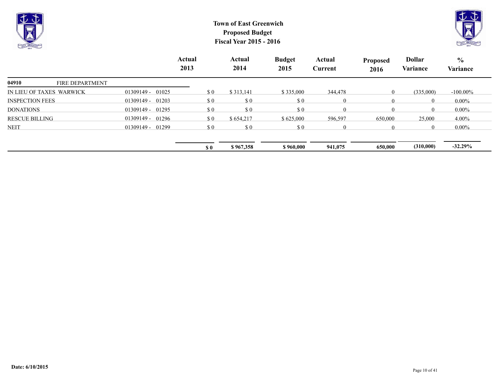



|                          |                        |                       | Actual<br>2013 | Actual<br>2014   |                             | <b>Budget</b><br>2015                            | Actual<br>Current | <b>Proposed</b><br>2016 | Dollar<br>Variance | $\frac{6}{6}$<br>Variance |
|--------------------------|------------------------|-----------------------|----------------|------------------|-----------------------------|--------------------------------------------------|-------------------|-------------------------|--------------------|---------------------------|
| 04910                    | <b>FIRE DEPARTMENT</b> |                       |                |                  |                             |                                                  |                   |                         |                    |                           |
| IN LIEU OF TAXES WARWICK |                        | $01309149 -$<br>01025 |                | \$0<br>\$313,141 |                             | \$335,000                                        | 344,478           | $\theta$                | (335,000)          | $-100.00\%$               |
| <b>INSPECTION FEES</b>   |                        | $01309149 - 01203$    |                | \$0              | $\boldsymbol{\mathsf{S}}$ 0 | $\boldsymbol{\mathsf{S}}\boldsymbol{\mathsf{0}}$ | $\theta$          | $\theta$                | $\Omega$           | $0.00\%$                  |
| <b>DONATIONS</b>         |                        | 01309149 - 01295      |                | \$0              | $\boldsymbol{\mathsf{S}}$ 0 | \$0                                              | $\theta$          |                         | $\Omega$           | $0.00\%$                  |
| <b>RESCUE BILLING</b>    |                        | $01309149 -$<br>01296 |                | \$0              | \$654,217                   | \$625,000                                        | 596,597           | 650,000                 | 25,000             | $4.00\%$                  |
| <b>NEIT</b>              |                        | $01309149 - 01299$    |                | \$0              | $\boldsymbol{\mathsf{S}}$ 0 | $\boldsymbol{\mathsf{S}}\boldsymbol{\mathsf{0}}$ | $\Omega$          |                         | $\theta$           | $0.00\%$                  |
|                          |                        |                       | S <sub>0</sub> |                  | \$967,358                   | \$960,000                                        | 941,075           | 650,000                 | (310,000)          | $-32.29\%$                |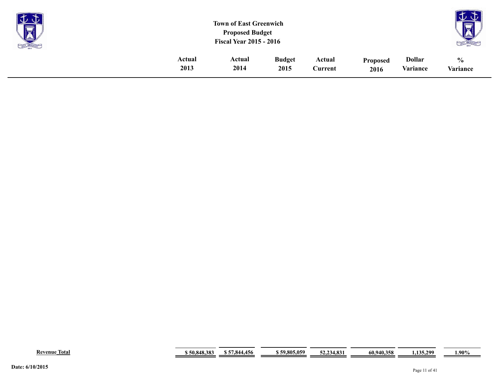| <b>Property</b><br>$\overline{1}$<br>S |        | <b>Town of East Greenwich</b><br><b>Proposed Budget</b><br><b>Fiscal Year 2015 - 2016</b> |               |         |                 |               | $\sim$<br>--<br>$\overline{\overline{}}$<br>LAI |
|----------------------------------------|--------|-------------------------------------------------------------------------------------------|---------------|---------|-----------------|---------------|-------------------------------------------------|
|                                        | Actual | Actual                                                                                    | <b>Budget</b> | Actual  | <b>Proposed</b> | <b>Dollar</b> | $\frac{0}{0}$                                   |
|                                        | 2013   | 2014                                                                                      | 2015          | Current | 2016            | Variance      | Variance                                        |

|  | Revenue<br>Total | . 040 20<br>50.848.3 | 456<br>57 QA<br><br>- 04 | <b>s.059</b><br>59.805 | $\overline{93}$<br>" 14.ბა. | $^{\circ}$ 940.358<br>- 99. | 12F<br>$\gamma$ 00<br>$-1 - 1$ | 1.90% |
|--|------------------|----------------------|--------------------------|------------------------|-----------------------------|-----------------------------|--------------------------------|-------|
|--|------------------|----------------------|--------------------------|------------------------|-----------------------------|-----------------------------|--------------------------------|-------|

 $\sim$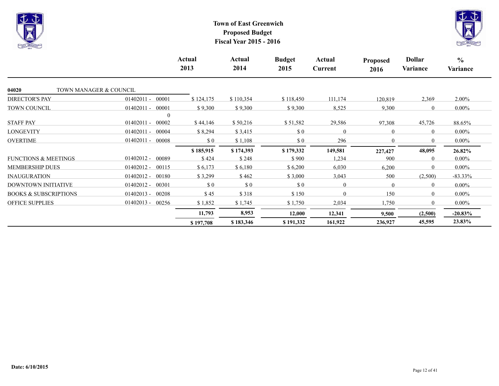



|                                  |                       | Actual<br>2013                                   | Actual<br>2014 | <b>Budget</b><br>2015                            | Actual<br>Current | <b>Proposed</b><br>2016 | <b>Dollar</b><br>Variance | $\frac{6}{6}$<br>Variance |
|----------------------------------|-----------------------|--------------------------------------------------|----------------|--------------------------------------------------|-------------------|-------------------------|---------------------------|---------------------------|
| 04020<br>TOWN MANAGER & COUNCIL  |                       |                                                  |                |                                                  |                   |                         |                           |                           |
| <b>DIRECTOR'S PAY</b>            | 00001<br>$01402011 -$ | \$124,175                                        | \$110,354      | \$118,450                                        | 111,174           | 120,819                 | 2,369                     | $2.00\%$                  |
| TOWN COUNCIL                     | 00001<br>$01402011 -$ | \$9,300                                          | \$9,300        | \$9,300                                          | 8,525             | 9,300                   | $\theta$                  | $0.00\%$                  |
|                                  |                       |                                                  |                |                                                  |                   |                         |                           |                           |
| <b>STAFF PAY</b>                 | $01402011 -$<br>00002 | \$44,146                                         | \$50,216       | \$51,582                                         | 29,586            | 97,308                  | 45,726                    | 88.65%                    |
| <b>LONGEVITY</b>                 | $01402011 -$<br>00004 | \$8,294                                          | \$3,415        | $\boldsymbol{\mathsf{S}}\boldsymbol{\mathsf{0}}$ | $\theta$          | 0                       | $\Omega$                  | $0.00\%$                  |
| <b>OVERTIME</b>                  | 00008<br>$01402011 -$ | \$0                                              | \$1,108        | \$0                                              | 296               | $\theta$                | $\Omega$                  | $0.00\%$                  |
|                                  |                       | \$185,915                                        | \$174,393      | \$179,332                                        | 149,581           | 227,427                 | 48,095                    | 26.82%                    |
| <b>FUNCTIONS &amp; MEETINGS</b>  | $01402012 -$<br>00089 | \$424                                            | \$248          | \$900                                            | 1,234             | 900                     | $\Omega$                  | $0.00\%$                  |
| <b>MEMBERSHIP DUES</b>           | 00115<br>$01402012 -$ | \$6,173                                          | \$6,180        | \$6,200                                          | 6,030             | 6,200                   | $\Omega$                  | $0.00\%$                  |
| <b>INAUGURATION</b>              | $01402012 -$<br>00180 | \$3,299                                          | \$462          | \$3,000                                          | 3,043             | 500                     | (2,500)                   | $-83.33\%$                |
| DOWNTOWN INITIATIVE              | 00301<br>$01402012 -$ | $\boldsymbol{\mathsf{S}}\boldsymbol{\mathsf{0}}$ | $\Omega$       | $\boldsymbol{\mathsf{S}}\boldsymbol{\mathsf{0}}$ | $\overline{0}$    | $\Omega$                | $\Omega$                  | $0.00\%$                  |
| <b>BOOKS &amp; SUBSCRIPTIONS</b> | $01402013 -$<br>00208 | \$45                                             | \$318          | \$150                                            | $\Omega$          | 150                     | $\theta$                  | $0.00\%$                  |
| <b>OFFICE SUPPLIES</b>           | $01402013 -$<br>00256 | \$1,852                                          | \$1,745        | \$1,750                                          | 2,034             | 1,750                   | $\theta$                  | $0.00\%$                  |
|                                  |                       | 11,793                                           | 8,953          | 12,000                                           | 12,341            | 9,500                   | (2,500)                   | $-20.83\%$                |
|                                  |                       | \$197,708                                        | \$183,346      | \$191,332                                        | 161,922           | 236,927                 | 45,595                    | 23.83%                    |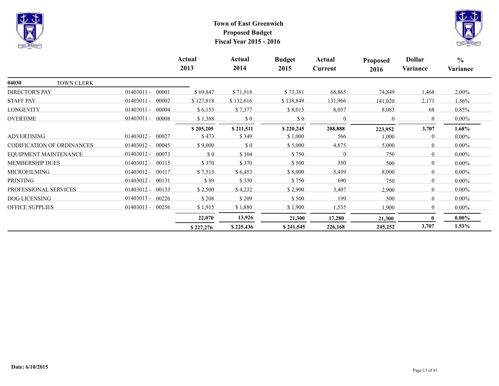



|                            |                       | Actual<br>2013 | Actual<br>2014 | <b>Budget</b><br>2015 | Actual<br>Current | <b>Proposed</b><br>2016 | <b>Dollar</b><br>Variance | $\frac{6}{6}$<br>Variance |
|----------------------------|-----------------------|----------------|----------------|-----------------------|-------------------|-------------------------|---------------------------|---------------------------|
| 04030<br>TOWN CLERK        |                       |                |                |                       |                   |                         |                           |                           |
| <b>DIRECTOR'S PAY</b>      | $01403011 -$<br>00001 | \$69,847       | \$71,518       | \$73,381              | 68,865            | 74,849                  | 1,468                     | 2.00%                     |
| <b>STAFF PAY</b>           | 00002<br>$01403011 -$ | \$127,818      | \$132,616      | \$138,849             | 131,966           | 141,020                 | 2,171                     | $1.56\%$                  |
| LONGEVITY                  | 00004<br>$01403011 -$ | \$6,153        | \$7,377        | \$8,015               | 8,057             | 8,083                   | 68                        | 0.85%                     |
| <b>OVERTIME</b>            | $01403011 -$<br>00008 | \$1,388        | \$0            | \$0                   | $\overline{0}$    | $\mathbf{0}$            | $\overline{0}$            | $0.00\%$                  |
|                            |                       | \$205,205      | \$211,511      | \$220,245             | 208,888           | 223,952                 | 3,707                     | $1.68\%$                  |
| <b>ADVERTISING</b>         | $01403012 -$<br>00027 | \$473          | \$349          | \$1,000               | 566               | 1,000                   | $\theta$                  | $0.00\%$                  |
| CODIFICATION OF ORDINANCES | $01403012 -$<br>00045 | \$9,000        | \$0            | \$5,000               | 4,875             | 5,000                   | $\overline{0}$            | $0.00\%$                  |
| EOUIPMENT MAINTENANCE      | $01403012 -$<br>00073 | \$0            | \$104          | \$750                 | $\theta$          | 750                     | $\overline{0}$            | $0.00\%$                  |
| <b>MEMBERSHIP DUES</b>     | $01403012 -$<br>00115 | \$370          | \$370          | \$500                 | 550               | 500                     | $\Omega$                  | $0.00\%$                  |
| <b>MICROFILMING</b>        | $01403012 -$<br>00117 | \$7,515        | \$6,453        | \$8,000               | 5,459             | 8,000                   | $\theta$                  | $0.00\%$                  |
| <b>PRINTING</b>            | 00131<br>$01403012 -$ | \$89           | \$330          | \$750                 | 690               | 750                     | $\theta$                  | $0.00\%$                  |
| PROFESSIONAL SERVICES      | $01403012 -$<br>00133 | \$2,500        | \$4,232        | \$2,900               | 3,407             | 2,900                   | $\overline{0}$            | $0.00\%$                  |
| <b>DOG LICENSING</b>       | $01403013 -$<br>00226 | \$208          | \$209          | \$500                 | 199               | 500                     | $\overline{0}$            | $0.00\%$                  |
| <b>OFFICE SUPPLIES</b>     | $01403013 -$<br>00256 | \$1,915        | \$1,880        | \$1,900               | 1,535             | 1,900                   | $\overline{0}$            | $0.00\%$                  |
|                            |                       | 22,070         | 13,926         | 21,300                | 17,280            | 21,300                  | 0                         | $0.00\%$                  |
|                            |                       | \$227,276      | \$225,436      | \$241,545             | 226,168           | 245,252                 | 3,707                     | $1.53\%$                  |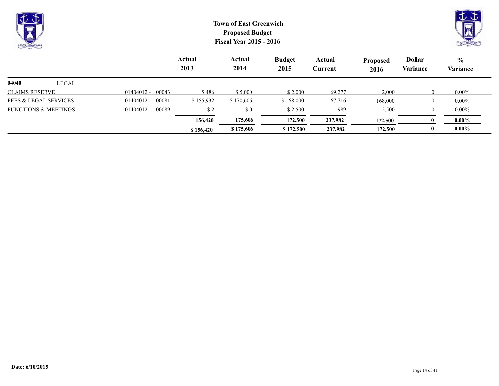| むむ<br><b>Rep</b><br><b>BATT LETTRA</b> |       |                    | <b>Town of East Greenwich</b><br><b>Proposed Budget</b><br><b>Fiscal Year 2015 - 2016</b> |                |                       |                   |                         |                           |                           |  |
|----------------------------------------|-------|--------------------|-------------------------------------------------------------------------------------------|----------------|-----------------------|-------------------|-------------------------|---------------------------|---------------------------|--|
|                                        |       |                    | Actual<br>2013                                                                            | Actual<br>2014 | <b>Budget</b><br>2015 | Actual<br>Current | <b>Proposed</b><br>2016 | <b>Dollar</b><br>Variance | $\frac{6}{6}$<br>Variance |  |
| 04040                                  | LEGAL |                    |                                                                                           |                |                       |                   |                         |                           |                           |  |
| <b>CLAIMS RESERVE</b>                  |       | $01404012 - 00043$ | \$486                                                                                     | \$5,000        | \$2,000               | 69,277            | 2,000                   | $\Omega$                  | $0.00\%$                  |  |
| <b>FEES &amp; LEGAL SERVICES</b>       |       | $01404012 - 00081$ | \$155,932                                                                                 | \$170,606      | \$168,000             | 167,716           | 168,000                 |                           | $0.00\%$                  |  |

**\$** 156,420 **\$** 175,606 **\$** 172,500 **237,982** 172,500 0 0.00%  **156,420 175,606 172,500 237,982 172,500 0 0.00%**

FUNCTIONS & MEETINGS 01404012 - 00089 \$2 \$0 \$2,500 989 2,500 0 0.00%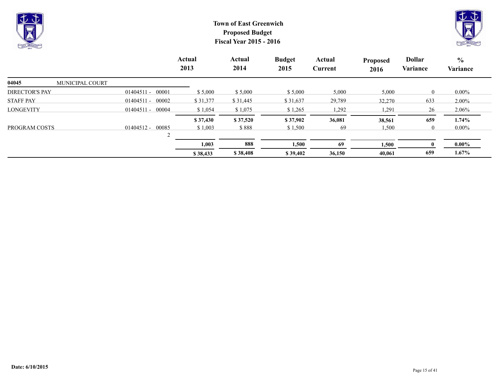



|                          |                       | Actual<br>2013 | Actual<br>2014 | <b>Budget</b><br>2015 | Actual<br>Current | <b>Proposed</b><br>2016 | <b>Dollar</b><br>Variance | $\frac{0}{0}$<br>Variance |
|--------------------------|-----------------------|----------------|----------------|-----------------------|-------------------|-------------------------|---------------------------|---------------------------|
| 04045<br>MUNICIPAL COURT |                       |                |                |                       |                   |                         |                           |                           |
| <b>DIRECTOR'S PAY</b>    | $01404511 - 00001$    | \$5,000        | \$5,000        | \$5,000               | 5,000             | 5,000                   | $\overline{0}$            | $0.00\%$                  |
| <b>STAFF PAY</b>         | $01404511 - 00002$    | \$31,377       | \$31,445       | \$31,637              | 29,789            | 32,270                  | 633                       | $2.00\%$                  |
| <b>LONGEVITY</b>         | $01404511 - 00004$    | \$1,054        | \$1,075        | \$1,265               | 1,292             | 1,291                   | 26                        | 2.06%                     |
|                          |                       | \$37,430       | \$37,520       | \$37,902              | 36,081            | 38,561                  | 659                       | 1.74%                     |
| PROGRAM COSTS            | $01404512 -$<br>00085 | \$1,003        | \$888          | \$1,500               | 69                | 1,500                   | $\overline{0}$            | $0.00\%$                  |
|                          |                       |                |                |                       |                   |                         |                           |                           |
|                          |                       | 1,003          | 888            | 1,500                 | 69                | 1,500                   |                           | $0.00\%$                  |
|                          |                       | \$38,433       | \$38,408       | \$39,402              | 36,150            | 40,061                  | 659                       | $1.67\%$                  |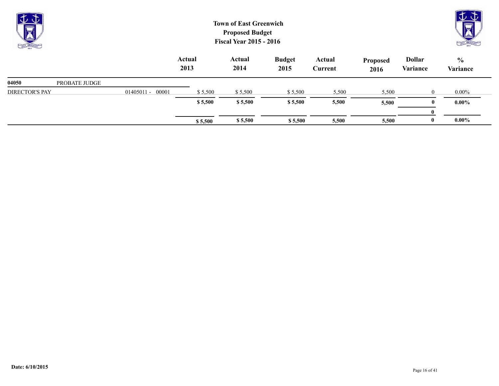| $\overline{\mathbf{y}}$<br><b>CASH LIKELING</b> |               |                       |                | <b>Town of East Greenwich</b><br><b>Proposed Budget</b><br><b>Fiscal Year 2015 - 2016</b> |                       |                   | JΦ<br>FREE ERECTION     |                           |                           |
|-------------------------------------------------|---------------|-----------------------|----------------|-------------------------------------------------------------------------------------------|-----------------------|-------------------|-------------------------|---------------------------|---------------------------|
|                                                 |               |                       | Actual<br>2013 | Actual<br>2014                                                                            | <b>Budget</b><br>2015 | Actual<br>Current | <b>Proposed</b><br>2016 | <b>Dollar</b><br>Variance | $\frac{6}{6}$<br>Variance |
| 04050                                           | PROBATE JUDGE |                       |                |                                                                                           |                       |                   |                         |                           |                           |
| <b>DIRECTOR'S PAY</b>                           |               | 00001<br>$01405011 -$ | \$5,500        | \$5,500                                                                                   | \$5,500               | 5,500             | 5,500                   | $\overline{0}$            | $0.00\%$                  |
|                                                 |               |                       | \$5,500        | \$5,500                                                                                   | \$5,500               | 5,500             | 5,500                   | $\mathbf{0}$              | $0.00\%$                  |
|                                                 |               |                       |                |                                                                                           |                       |                   |                         | $\mathbf{0}$              |                           |

**\$ 5,500 \$ 5,500 \$ 5,500 5,500 5,500 0 0.00%** 

 $\qquad \qquad$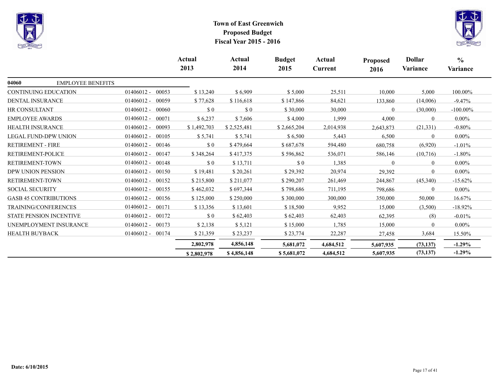



|                              |                                |                       | Actual<br>2013 | Actual<br>2014              | <b>Budget</b><br>2015 | Actual<br>Current | <b>Proposed</b><br>2016 | <b>Dollar</b><br>Variance | $\frac{0}{0}$<br>Variance |
|------------------------------|--------------------------------|-----------------------|----------------|-----------------------------|-----------------------|-------------------|-------------------------|---------------------------|---------------------------|
| 04060                        | <b>EMPLOYEE BENEFITS</b>       |                       |                |                             |                       |                   |                         |                           |                           |
| <b>CONTINUING EDUCATION</b>  |                                | $01406012 -$<br>00053 | \$13,240       | \$6,909                     | \$5,000               | 25,511            | 10,000                  | 5,000                     | 100.00%                   |
| DENTAL INSURANCE             |                                | $01406012 -$<br>00059 | \$77,628       | \$116,618                   | \$147,866             | 84,621            | 133,860                 | (14,006)                  | $-9.47\%$                 |
| <b>HR CONSULTANT</b>         |                                | $01406012 -$<br>00060 | \$0            | $\boldsymbol{\mathsf{S}}$ 0 | \$30,000              | 30,000            | $\theta$                | (30,000)                  | $-100.00\%$               |
| <b>EMPLOYEE AWARDS</b>       |                                | $01406012 -$<br>00071 | \$6,237        | \$7,606                     | \$4,000               | 1,999             | 4,000                   | $\Omega$                  | $0.00\%$                  |
| HEALTH INSURANCE             |                                | $01406012 -$<br>00093 | \$1,492,703    | \$2,525,481                 | \$2,665,204           | 2,014,938         | 2,643,873               | (21, 331)                 | $-0.80%$                  |
| <b>LEGAL FUND-DPW UNION</b>  |                                | $01406012 -$<br>00105 | \$5,741        | \$5,741                     | \$6,500               | 5,443             | 6,500                   | $\Omega$                  | $0.00\%$                  |
| <b>RETIREMENT - FIRE</b>     |                                | $01406012 -$<br>00146 | \$0            | \$479,664                   | \$687,678             | 594,480           | 680,758                 | (6,920)                   | $-1.01%$                  |
| RETIREMENT-POLICE            |                                | $01406012 -$<br>00147 | \$348,264      | \$417,375                   | \$596,862             | 536,071           | 586,146                 | (10, 716)                 | $-1.80%$                  |
| RETIREMENT-TOWN              |                                | $01406012 -$<br>00148 | $\sqrt{3}0$    | \$13,711                    | $\sqrt{3}0$           | 1,385             | $\Omega$                | $\theta$                  | $0.00\%$                  |
| DPW UNION PENSION            |                                | $01406012 -$<br>00150 | \$19,481       | \$20,261                    | \$29,392              | 20,974            | 29,392                  | $\Omega$                  | $0.00\%$                  |
| RETIREMENT-TOWN              |                                | 00152<br>$01406012 -$ | \$215,800      | \$211,077                   | \$290,207             | 261,469           | 244,867                 | (45,340)                  | $-15.62%$                 |
| <b>SOCIAL SECURITY</b>       |                                | $01406012 -$<br>00155 | \$462,032      | \$697,344                   | \$798,686             | 711,195           | 798,686                 | $\theta$                  | $0.00\%$                  |
| <b>GASB 45 CONTRIBUTIONS</b> |                                | 00156<br>$01406012 -$ | \$125,000      | \$250,000                   | \$300,000             | 300,000           | 350,000                 | 50,000                    | 16.67%                    |
| <b>TRAINING/CONFERENCES</b>  |                                | $01406012 -$<br>00171 | \$13,356       | \$13,601                    | \$18,500              | 9,952             | 15,000                  | (3,500)                   | $-18.92%$                 |
|                              | <b>STATE PENSION INCENTIVE</b> | $01406012 -$<br>00172 | $\sqrt{3}0$    | \$62,403                    | \$62,403              | 62,403            | 62,395                  | (8)                       | $-0.01%$                  |
|                              | UNEMPLOYMENT INSURANCE         | $01406012 -$<br>00173 | \$2,138        | \$5,121                     | \$15,000              | 1,785             | 15,000                  | $\Omega$                  | $0.00\%$                  |
| <b>HEALTH BUYBACK</b>        |                                | $01406012 -$<br>00174 | \$21,359       | \$23,237                    | \$23,774              | 22,287            | 27,458                  | 3,684                     | 15.50%                    |
|                              |                                |                       | 2,802,978      | 4,856,148                   | 5,681,072             | 4,684,512         | 5,607,935               | (73, 137)                 | $-1.29\%$                 |
|                              |                                |                       | \$2,802,978    | \$4,856,148                 | \$5,681,072           | 4,684,512         | 5,607,935               | (73, 137)                 | $-1.29%$                  |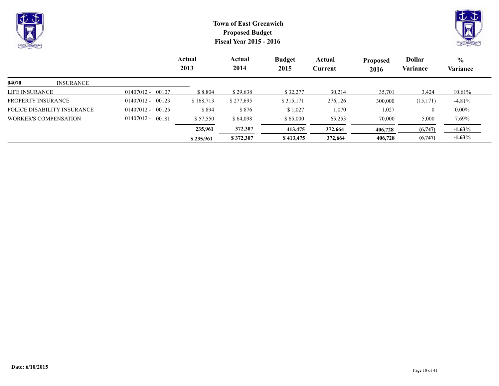

|                             |                       | \$235,961 | \$372,307 | \$413,475 | 372,664 | 406,728 | (6,747)  | $-1.63%$        |
|-----------------------------|-----------------------|-----------|-----------|-----------|---------|---------|----------|-----------------|
|                             |                       | 235,961   | 372,307   | 413,475   | 372,664 | 406,728 | (6,747)  | $-1.63%$        |
| WORKER'S COMPENSATION       | $01407012 -$<br>00181 | \$57,550  | \$ 64,098 | \$65,000  | 65,253  | 70,000  | 5,000    | 7.69%           |
| POLICE DISABILITY INSURANCE | 00125<br>01407012 -   | \$ 894    | \$876     | \$1,027   | 1,070   | 1.027   |          | $0.00\%$        |
| PROPERTY INSURANCE          | 00123<br>$01407012 -$ | \$168.713 | \$277.695 | \$315.171 | 276,126 | 300,000 | (15,171) | $-4.81%$        |
| LIFE INƏUNANUE-             | $0140/012 -$<br>UUVU  | 0.004     | 9.29.000  | J22.211   | 30,214  | 33.701  | 3,424    | 10.017 <b>c</b> |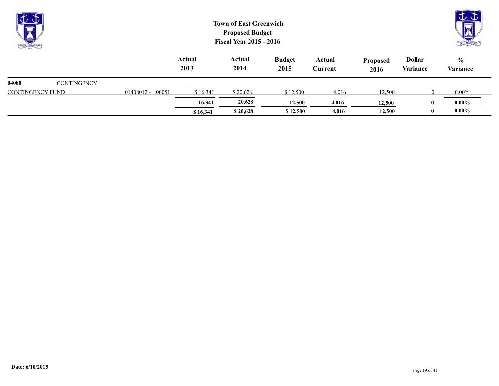| J<br><b>No.</b><br><b>CALL CALLING</b> |                    |                       |                | <b>Town of East Greenwich</b><br><b>Proposed Budget</b><br><b>Fiscal Year 2015 - 2016</b> |                       |                   |                         |                           | $\overline{\mathsf{v}}\,\overline{\mathsf{v}}$<br><b>LAST LACEN</b> |
|----------------------------------------|--------------------|-----------------------|----------------|-------------------------------------------------------------------------------------------|-----------------------|-------------------|-------------------------|---------------------------|---------------------------------------------------------------------|
|                                        |                    |                       | Actual<br>2013 | Actual<br>2014                                                                            | <b>Budget</b><br>2015 | Actual<br>Current | <b>Proposed</b><br>2016 | <b>Dollar</b><br>Variance | $\frac{0}{0}$<br>Variance                                           |
| 04080                                  | <b>CONTINGENCY</b> |                       |                |                                                                                           |                       |                   |                         |                           |                                                                     |
| <b>CONTINGENCY FUND</b>                |                    | 00051<br>$01408012 -$ | \$16,341       | \$20,628                                                                                  | \$12,500              | 4,016             | 12,500                  | $\theta$                  | $0.00\%$                                                            |
|                                        |                    |                       | 16,341         | 20,628                                                                                    | 12,500                | 4,016             | 12,500                  | $\bf{0}$                  | $0.00\%$                                                            |

**\$** 16,341 **\$** 20,628 **\$** 12,500 **4**,016 **12,500 0** 0.00%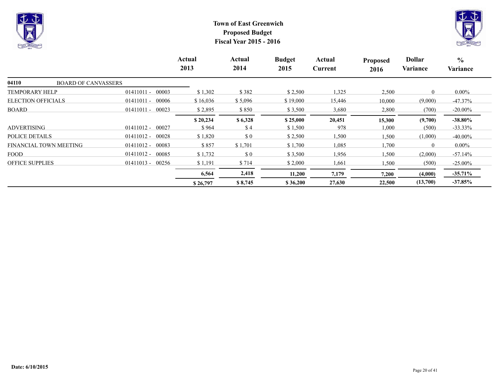



|                                     |                       | <b>Actual</b><br>2013 | Actual<br>2014 | <b>Budget</b><br>2015 | Actual<br>Current | <b>Proposed</b><br>2016 | <b>Dollar</b><br>Variance | $\frac{0}{0}$<br>Variance |
|-------------------------------------|-----------------------|-----------------------|----------------|-----------------------|-------------------|-------------------------|---------------------------|---------------------------|
| 04110<br><b>BOARD OF CANVASSERS</b> |                       |                       |                |                       |                   |                         |                           |                           |
| <b>TEMPORARY HELP</b>               | 00003<br>$01411011 -$ | \$1,302               | \$382          | \$2,500               | 1,325             | 2,500                   | $\theta$                  | $0.00\%$                  |
| <b>ELECTION OFFICIALS</b>           | $01411011 -$<br>00006 | \$16,036              | \$5,096        | \$19,000              | 15,446            | 10,000                  | (9,000)                   | $-47.37\%$                |
| BOARD                               | $01411011 -$<br>00023 | \$2,895               | \$850          | \$3,500               | 3,680             | 2,800                   | (700)                     | $-20.00\%$                |
|                                     |                       | \$20,234              | \$6,328        | \$25,000              | 20,451            | 15,300                  | (9,700)                   | $-38.80\%$                |
| <b>ADVERTISING</b>                  | 00027<br>$01411012 -$ | \$964                 | \$4            | \$1,500               | 978               | 1,000                   | (500)                     | $-33.33\%$                |
| POLICE DETAILS                      | $01411012 -$<br>00028 | \$1,820               | $\sqrt{3}0$    | \$2,500               | 1,500             | 1,500                   | (1,000)                   | $-40.00\%$                |
| FINANCIAL TOWN MEETING              | $01411012 - 00083$    | \$857                 | \$1,701        | \$1,700               | 1,085             | 1,700                   | $\theta$                  | $0.00\%$                  |
| <b>FOOD</b>                         | $01411012 -$<br>00085 | \$1,732               | $\sqrt{3}0$    | \$3,500               | 1,956             | 1,500                   | (2,000)                   | $-57.14%$                 |
| <b>OFFICE SUPPLIES</b>              | $01411013 - 00256$    | \$1,191               | \$714          | \$2,000               | 1,661             | 1,500                   | (500)                     | $-25.00\%$                |
|                                     |                       | 6,564                 | 2,418          | 11,200                | 7,179             | 7,200                   | (4,000)                   | $-35.71\%$                |
|                                     |                       | \$26,797              | \$8,745        | \$36,200              | 27,630            | 22,500                  | (13,700)                  | $-37.85%$                 |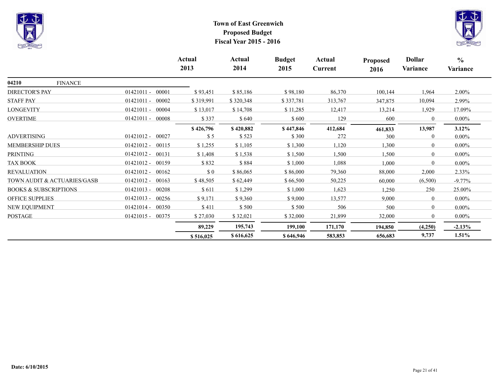



|                                  |                       | Actual<br>2013 | Actual<br>2014 | <b>Budget</b><br>2015 | Actual<br>Current | <b>Proposed</b><br>2016 | <b>Dollar</b><br>Variance | $\frac{0}{0}$<br>Variance |
|----------------------------------|-----------------------|----------------|----------------|-----------------------|-------------------|-------------------------|---------------------------|---------------------------|
| 04210<br><b>FINANCE</b>          |                       |                |                |                       |                   |                         |                           |                           |
| DIRECTOR'S PAY                   | $01421011 -$<br>00001 | \$93,451       | \$85,186       | \$98,180              | 86,370            | 100,144                 | 1,964                     | $2.00\%$                  |
| <b>STAFF PAY</b>                 | $01421011 -$<br>00002 | \$319,991      | \$320,348      | \$337,781             | 313,767           | 347,875                 | 10,094                    | 2.99%                     |
| <b>LONGEVITY</b>                 | $01421011 -$<br>00004 | \$13,017       | \$14,708       | \$11,285              | 12,417            | 13,214                  | 1,929                     | 17.09%                    |
| <b>OVERTIME</b>                  | $01421011 -$<br>00008 | \$337          | \$640          | \$600                 | 129               | 600                     | $\theta$                  | $0.00\%$                  |
|                                  |                       | \$426,796      | \$420,882      | \$447,846             | 412,684           | 461,833                 | 13,987                    | $3.12\%$                  |
| <b>ADVERTISING</b>               | $01421012 -$<br>00027 | \$5            | \$523          | \$300                 | 272               | 300                     | $\theta$                  | $0.00\%$                  |
| <b>MEMBERSHIP DUES</b>           | $01421012 -$<br>00115 | \$1,255        | \$1,105        | \$1,300               | 1,120             | 1,300                   | $\theta$                  | $0.00\%$                  |
| <b>PRINTING</b>                  | $01421012 -$<br>00131 | \$1,408        | \$1,538        | \$1,500               | 1,500             | 1,500                   | $\overline{0}$            | $0.00\%$                  |
| <b>TAX BOOK</b>                  | $01421012 -$<br>00159 | \$832          | \$884          | \$1,000               | 1,088             | 1,000                   | $\overline{0}$            | $0.00\%$                  |
| <b>REVALUATION</b>               | 00162<br>$01421012 -$ | \$0            | \$86,065       | \$86,000              | 79,360            | 88,000                  | 2,000                     | $2.33\%$                  |
| TOWN AUDIT & ACTUARIES/GASB      | $01421012 -$<br>00163 | \$48,505       | \$62,449       | \$66,500              | 50,225            | 60,000                  | (6,500)                   | $-9.77\%$                 |
| <b>BOOKS &amp; SUBSCRIPTIONS</b> | 00208<br>$01421013 -$ | \$611          | \$1,299        | \$1,000               | 1,623             | 1,250                   | 250                       | 25.00%                    |
| <b>OFFICE SUPPLIES</b>           | $01421013 -$<br>00256 | \$9,171        | \$9,360        | \$9,000               | 13,577            | 9,000                   | $\overline{0}$            | $0.00\%$                  |
| NEW EQUIPMENT                    | 00350<br>$01421014 -$ | \$411          | \$500          | \$500                 | 506               | 500                     | $\overline{0}$            | $0.00\%$                  |
| <b>POSTAGE</b>                   | 01421015 - 00375      | \$27,030       | \$32,021       | \$32,000              | 21,899            | 32,000                  | $\theta$                  | $0.00\%$                  |
|                                  |                       | 89,229         | 195,743        | 199,100               | 171,170           | 194,850                 | (4,250)                   | $-2.13%$                  |
|                                  |                       | \$516,025      | \$616,625      | \$646,946             | 583,853           | 656,683                 | 9,737                     | 1.51%                     |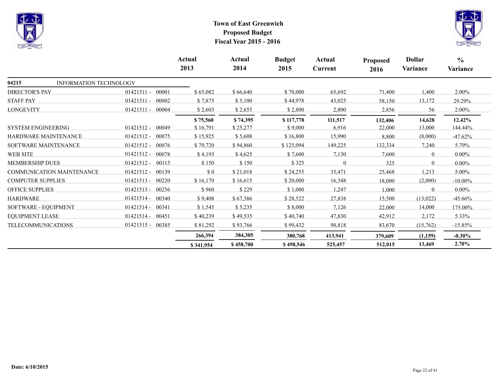



|                                  |                               |                       | Actual<br>2013              | Actual<br>2014 | <b>Budget</b><br>2015 | Actual<br><b>Current</b> | <b>Proposed</b><br>2016 | <b>Dollar</b><br>Variance | $\frac{0}{0}$<br>Variance |
|----------------------------------|-------------------------------|-----------------------|-----------------------------|----------------|-----------------------|--------------------------|-------------------------|---------------------------|---------------------------|
| 04215                            | <b>INFORMATION TECHNOLOGY</b> |                       |                             |                |                       |                          |                         |                           |                           |
| <b>DIRECTOR'S PAY</b>            |                               | $01421511 -$<br>00001 | \$65,082                    | \$66,640       | \$70,000              | 65,692                   | 71,400                  | 1,400                     | 2.00%                     |
| <b>STAFF PAY</b>                 |                               | $01421511 -$<br>00002 | \$7,875                     | \$5,100        | \$44,978              | 43,025                   | 58,150                  | 13,172                    | 29.29%                    |
| <b>LONGEVITY</b>                 |                               | 01421511 - 00004      | \$2,603                     | \$2,655        | \$2,800               | 2,800                    | 2,856                   | 56                        | 2.00%                     |
|                                  |                               |                       | \$75,560                    | \$74,395       | \$117,778             | 111,517                  | 132,406                 | 14,628                    | 12.42%                    |
| <b>SYSTEM ENGINEERING</b>        |                               | $01421512 -$<br>00049 | \$16,791                    | \$25,277       | \$9,000               | 6,916                    | 22,000                  | 13,000                    | 144.44%                   |
| HARDWARE MAINTENANCE             |                               | $01421512 -$<br>00075 | \$15,925                    | \$5,608        | \$16,800              | 15,990                   | 8,800                   | (8,000)                   | $-47.62%$                 |
| SOFTWARE MAINTENANCE             |                               | $01421512 -$<br>00076 | \$79,720                    | \$94,860       | \$125,094             | 149,225                  | 132,334                 | 7,240                     | 5.79%                     |
| <b>WEB SITE</b>                  |                               | $01421512 -$<br>00078 | \$4,193                     | \$4,625        | \$7,600               | 7,130                    | 7,600                   | $\theta$                  | $0.00\%$                  |
| <b>MEMBERSHIP DUES</b>           |                               | $01421512 -$<br>00115 | \$150                       | \$150          | \$325                 | $\theta$                 | 325                     | $\theta$                  | $0.00\%$                  |
| <b>COMMUNICATION MAINTENANCE</b> |                               | $01421512 -$<br>00139 | $\boldsymbol{\mathsf{S}}$ 0 | \$21,018       | \$24,255              | 35,471                   | 25,468                  | 1,213                     | $5.00\%$                  |
| <b>COMPUTER SUPPLIES</b>         |                               | $01421513 -$<br>00220 | \$16,170                    | \$16,615       | \$20,000              | 16,348                   | 18,000                  | (2,000)                   | $-10.00\%$                |
| <b>OFFICE SUPPLIES</b>           |                               | $01421513 -$<br>00256 | \$960                       | \$229          | \$1,000               | 1,247                    | 1,000                   | $\Omega$                  | $0.00\%$                  |
| HARDWARE                         |                               | $01421514 -$<br>00340 | \$9,408                     | \$67,386       | \$28,522              | 27,838                   | 15,500                  | (13,022)                  | $-45.66\%$                |
| SOFTWARE - EQUIPMENT             |                               | $01421514 -$<br>00341 | \$1,545                     | \$5,235        | \$8,000               | 7,126                    | 22,000                  | 14,000                    | 175.00%                   |
| <b>EQUIPMENT LEASE</b>           |                               | 00451<br>$01421514 -$ | \$40,239                    | \$49,535       | \$40,740              | 47,830                   | 42,912                  | 2,172                     | $5.33\%$                  |
| <b>TELECOMMUNICATIONS</b>        |                               | $01421515 -$<br>00385 | \$81,292                    | \$93,766       | \$99,432              | 98,818                   | 83,670                  | (15,762)                  | $-15.85%$                 |
|                                  |                               |                       | 266,394                     | 384,305        | 380,768               | 413,941                  | 379,609                 | (1,159)                   | $-0.30%$                  |
|                                  |                               |                       | \$341,954                   | \$458,700      | \$498,546             | 525,457                  | 512,015                 | 13,469                    | 2.70%                     |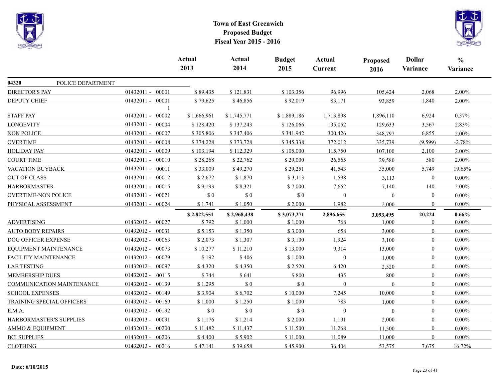



|                                  |                       | Actual<br>2013 | Actual<br>2014 | <b>Budget</b><br>2015 | Actual<br><b>Current</b> | Proposed<br>2016 | <b>Dollar</b><br><b>Variance</b> | $\frac{0}{0}$<br>Variance |
|----------------------------------|-----------------------|----------------|----------------|-----------------------|--------------------------|------------------|----------------------------------|---------------------------|
| 04320<br>POLICE DEPARTMENT       |                       |                |                |                       |                          |                  |                                  |                           |
| <b>DIRECTOR'S PAY</b>            | 01432011 - 00001      | \$89,435       | \$121,831      | \$103,356             | 96,996                   | 105,424          | 2,068                            | 2.00%                     |
| <b>DEPUTY CHIEF</b>              | 01432011 - 00001      | \$79,625       | \$46,856       | \$92,019              | 83,171                   | 93,859           | 1,840                            | 2.00%                     |
| <b>STAFF PAY</b>                 | 01432011 - 00002      | \$1,666,961    | \$1,745,771    | \$1,889,186           | 1,713,898                | 1,896,110        | 6,924                            | 0.37%                     |
| <b>LONGEVITY</b>                 | 01432011 - 00004      | \$128,420      | \$137,243      | \$126,066             | 135,052                  | 129,633          | 3,567                            | 2.83%                     |
| <b>NON POLICE</b>                | 01432011 - 00007      | \$305,806      | \$347,406      | \$341,942             | 300,426                  | 348,797          | 6,855                            | 2.00%                     |
| <b>OVERTIME</b>                  | 01432011 - 00008      | \$374,228      | \$373,728      | \$345,338             | 372,012                  | 335,739          | (9, 599)                         | $-2.78%$                  |
| <b>HOLIDAY PAY</b>               | 01432011 - 00009      | \$103,194      | \$112,329      | \$105,000             | 115,750                  | 107,100          | 2,100                            | 2.00%                     |
| <b>COURT TIME</b>                | 01432011 - 00010      | \$28,268       | \$22,762       | \$29,000              | 26,565                   | 29,580           | 580                              | 2.00%                     |
| VACATION BUYBACK                 | 01432011 - 00011      | \$33,009       | \$49,270       | \$29,251              | 41,543                   | 35,000           | 5,749                            | 19.65%                    |
| <b>OUT OF CLASS</b>              | 01432011 - 00012      | \$2,672        | \$1,870        | \$3,113               | 1,598                    | 3,113            | $\mathbf{0}$                     | $0.00\%$                  |
| <b>HARBORMASTER</b>              | 01432011 - 00015      | \$9,193        | \$8,321        | \$7,000               | 7,662                    | 7,140            | 140                              | 2.00%                     |
| <b>OVERTIME-NON POLICE</b>       | 01432011 - 00021      | \$0            | $\sqrt{0}$     | \$0                   | $\boldsymbol{0}$         | $\overline{0}$   | $\overline{0}$                   | $0.00\%$                  |
| PHYSICAL ASSESSMENT              | 01432011 - 00024      | \$1,741        | \$1,050        | \$2,000               | 1,982                    | 2,000            | $\mathbf{0}$                     | 0.00%                     |
|                                  |                       | \$2,822,551    | \$2,968,438    | \$3,073,271           | 2,896,655                | 3,093,495        | 20,224                           | 0.66%                     |
| <b>ADVERTISING</b>               | 01432012 - 00027      | \$792          | \$1,000        | \$1,000               | 768                      | 1,000            | $\mathbf{0}$                     | $0.00\%$                  |
| <b>AUTO BODY REPAIRS</b>         | 01432012 - 00031      | \$5,153        | \$1,350        | \$3,000               | 658                      | 3,000            | $\mathbf{0}$                     | $0.00\%$                  |
| DOG OFFICER EXPENSE              | 01432012 - 00063      | \$2,073        | \$1,307        | \$3,100               | 1,924                    | 3,100            | $\boldsymbol{0}$                 | 0.00%                     |
| EQUIPMENT MAINTENANCE            | 01432012 - 00073      | \$10,277       | \$11,210       | \$13,000              | 9,314                    | 13,000           | $\theta$                         | $0.00\%$                  |
| FACILITY MAINTENANCE             | $01432012 -$<br>00079 | \$192          | \$406          | \$1,000               | $\boldsymbol{0}$         | 1,000            | $\mathbf{0}$                     | $0.00\%$                  |
| <b>LAB TESTING</b>               | 01432012 - 00097      | \$4,320        | \$4,350        | \$2,520               | 6,420                    | 2,520            | $\overline{0}$                   | $0.00\%$                  |
| <b>MEMBERSHIP DUES</b>           | $01432012 -$<br>00115 | \$744          | \$641          | \$800                 | 435                      | 800              | $\boldsymbol{0}$                 | $0.00\%$                  |
| COMMUNICATION MAINTENANCE        | 01432012 - 00139      | \$1,295        | \$0            | \$0                   | $\Omega$                 | $\theta$         | $\theta$                         | $0.00\%$                  |
| <b>SCHOOL EXPENSES</b>           | 01432012 - 00149      | \$3,904        | \$6,702        | \$10,000              | 7,245                    | 10,000           | $\theta$                         | $0.00\%$                  |
| <b>TRAINING SPECIAL OFFICERS</b> | 01432012 - 00169      | \$1,000        | \$1,250        | \$1,000               | 783                      | 1,000            | $\mathbf{0}$                     | $0.00\%$                  |
| E.M.A.                           | 01432012 - 00192      | \$0            | \$0            | \$0                   | $\Omega$                 | $\mathbf{0}$     | $\mathbf{0}$                     | $0.00\%$                  |
| HARBORMASTER'S SUPPLIES          | 01432013 - 00091      | \$1,176        | \$1,214        | \$2,000               | 1,191                    | 2,000            | $\overline{0}$                   | 0.00%                     |
| AMMO & EQUIPMENT                 | 01432013 - 00200      | \$11,482       | \$11,437       | \$11,500              | 11,268                   | 11,500           | $\overline{0}$                   | $0.00\%$                  |
| <b>BCI SUPPLIES</b>              | 01432013 - 00206      | \$4,400        | \$5,902        | \$11,000              | 11,089                   | 11,000           | $\mathbf{0}$                     | $0.00\%$                  |
| <b>CLOTHING</b>                  | $01432013 - 00216$    | \$47,141       | \$39,658       | \$45,900              | 36,404                   | 53,575           | 7,675                            | 16.72%                    |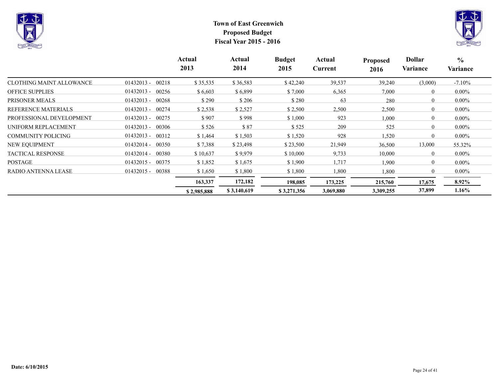



|                            |                       | Actual<br>2013 | Actual<br>2014 | <b>Budget</b><br>2015 | Actual<br>Current | <b>Proposed</b><br>2016 | <b>Dollar</b><br>Variance | $\frac{0}{0}$<br>Variance |
|----------------------------|-----------------------|----------------|----------------|-----------------------|-------------------|-------------------------|---------------------------|---------------------------|
| CLOTHING MAINT ALLOWANCE   | $01432013 -$<br>00218 | \$35,535       | \$36,583       | \$42,240              | 39,537            | 39,240                  | (3,000)                   | $-7.10\%$                 |
| <b>OFFICE SUPPLIES</b>     | $01432013 - 00256$    | \$6,603        | \$6,899        | \$7,000               | 6,365             | 7,000                   | $\theta$                  | $0.00\%$                  |
| PRISONER MEALS             | $01432013 -$<br>00268 | \$290          | \$206          | \$280                 | 63                | 280                     | $\overline{0}$            | $0.00\%$                  |
| <b>REFERENCE MATERIALS</b> | $01432013 -$<br>00274 | \$2,538        | \$2,527        | \$2,500               | 2,500             | 2,500                   | $\overline{0}$            | $0.00\%$                  |
| PROFESSIONAL DEVELOPMENT   | $01432013 - 00275$    | \$907          | \$998          | \$1,000               | 923               | 1,000                   | $\overline{0}$            | $0.00\%$                  |
| UNIFORM REPLACEMENT        | $01432013 -$<br>00306 | \$526          | \$87           | \$525                 | 209               | 525                     | $\Omega$                  | $0.00\%$                  |
| <b>COMMUNITY POLICING</b>  | $01432013 - 00312$    | \$1,464        | \$1,503        | \$1,520               | 928               | 1,520                   | $\Omega$                  | $0.00\%$                  |
| <b>NEW EQUIPMENT</b>       | $01432014 - 00350$    | \$7,388        | \$23,498       | \$23,500              | 21,949            | 36,500                  | 13,000                    | 55.32%                    |
| <b>TACTICAL RESPONSE</b>   | $01432014 -$<br>00380 | \$10,637       | \$9,979        | \$10,000              | 9,733             | 10,000                  | $\theta$                  | $0.00\%$                  |
| <b>POSTAGE</b>             | $01432015 -$<br>00375 | \$1,852        | \$1,675        | \$1,900               | 1,717             | 1,900                   | $\overline{0}$            | $0.00\%$                  |
| RADIO ANTENNA LEASE        | $01432015 -$<br>00388 | \$1,650        | \$1,800        | \$1,800               | ,800              | 1,800                   | $\theta$                  | $0.00\%$                  |
|                            |                       | 163,337        | 172,182        | 198,085               | 173,225           | 215,760                 | 17,675                    | 8.92%                     |
|                            |                       | \$2,985,888    | \$3,140,619    | \$3,271,356           | 3,069,880         | 3,309,255               | 37,899                    | $1.16\%$                  |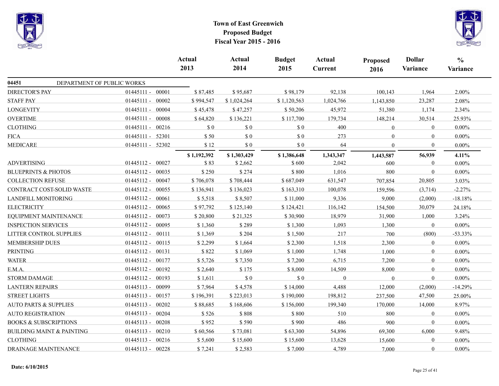



|                                      |                    | Actual<br>2013 | Actual<br>2014 | <b>Budget</b><br>2015 | Actual<br>Current | <b>Proposed</b><br>2016 | <b>Dollar</b><br>Variance | $\frac{6}{6}$<br>Variance |
|--------------------------------------|--------------------|----------------|----------------|-----------------------|-------------------|-------------------------|---------------------------|---------------------------|
| 04451<br>DEPARTMENT OF PUBLIC WORKS  |                    |                |                |                       |                   |                         |                           |                           |
| <b>DIRECTOR'S PAY</b>                | 01445111 - 00001   | \$87,485       | \$95,687       | \$98,179              | 92,138            | 100,143                 | 1,964                     | 2.00%                     |
| <b>STAFF PAY</b>                     | 01445111 - 00002   | \$994,547      | \$1,024,264    | \$1,120,563           | 1,024,766         | 1,143,850               | 23,287                    | 2.08%                     |
| <b>LONGEVITY</b>                     | 01445111 - 00004   | \$45,478       | \$47,257       | \$50,206              | 45,972            | 51,380                  | 1,174                     | 2.34%                     |
| <b>OVERTIME</b>                      | 01445111 - 00008   | \$64,820       | \$136,221      | \$117,700             | 179,734           | 148,214                 | 30,514                    | 25.93%                    |
| <b>CLOTHING</b>                      | 01445111 - 00216   | $\sqrt{50}$    | $\$$ 0         | \$0                   | 400               | $\mathbf{0}$            | $\overline{0}$            | $0.00\%$                  |
| <b>FICA</b>                          | 01445111 - 52301   | \$50           | \$0            | \$0                   | 273               | $\mathbf{0}$            | $\theta$                  | $0.00\%$                  |
| <b>MEDICARE</b>                      | 01445111 - 52302   | \$12           | \$0            | \$0                   | 64                | $\mathbf{0}$            | $\mathbf{0}$              | $0.00\%$                  |
|                                      |                    | \$1,192,392    | \$1,303,429    | \$1,386,648           | 1,343,347         | 1,443,587               | 56,939                    | 4.11%                     |
| <b>ADVERTISING</b>                   | 01445112 - 00027   | \$83           | \$2,662        | \$600                 | 2,042             | 600                     | $\theta$                  | 0.00%                     |
| <b>BLUEPRINTS &amp; PHOTOS</b>       | 01445112 - 00035   | \$250          | \$274          | \$800                 | 1,016             | 800                     | $\mathbf{0}$              | $0.00\%$                  |
| <b>COLLECTION REFUSE</b>             | 01445112 - 00047   | \$706,078      | \$708,444      | \$687,049             | 631,547           | 707,854                 | 20,805                    | 3.03%                     |
| CONTRACT COST-SOLID WASTE            | 01445112 - 00055   | \$136,941      | \$136,023      | \$163,310             | 100,078           | 159,596                 | (3,714)                   | $-2.27%$                  |
| LANDFILL MONITORING                  | 01445112 - 00061   | \$5,518        | \$8,507        | \$11,000              | 9,336             | 9,000                   | (2,000)                   | $-18.18%$                 |
| <b>ELECTRICITY</b>                   | 01445112 - 00065   | \$97,792       | \$125,140      | \$124,421             | 116,142           | 154,500                 | 30,079                    | 24.18%                    |
| EQUIPMENT MAINTENANCE                | 01445112 - 00073   | \$20,800       | \$21,325       | \$30,900              | 18,979            | 31,900                  | 1,000                     | 3.24%                     |
| <b>INSPECTION SERVICES</b>           | 01445112 - 00095   | \$1,360        | \$289          | \$1,300               | 1,093             | 1,300                   | $\bf{0}$                  | $0.00\%$                  |
| LITTER CONTROL SUPPLIES              | 01445112 - 00111   | \$1,369        | \$204          | \$1,500               | 217               | 700                     | (800)                     | $-53.33%$                 |
| <b>MEMBERSHIP DUES</b>               | 01445112 - 00115   | \$2,299        | \$1,664        | \$2,300               | 1,518             | 2,300                   | $\overline{0}$            | $0.00\%$                  |
| <b>PRINTING</b>                      | 01445112 - 00131   | \$822          | \$1,069        | \$1,000               | 1,748             | 1,000                   | $\overline{0}$            | $0.00\%$                  |
| <b>WATER</b>                         | 01445112 - 00177   | \$5,726        | \$7,350        | \$7,200               | 6,715             | 7,200                   | $\mathbf{0}$              | $0.00\%$                  |
| E.M.A.                               | 01445112 - 00192   | \$2,640        | \$175          | \$8,000               | 14,509            | 8,000                   | $\Omega$                  | $0.00\%$                  |
| <b>STORM DAMAGE</b>                  | 01445112 - 00193   | \$1,611        | \$0            | \$0                   | $\theta$          | $\mathbf{0}$            | $\mathbf{0}$              | $0.00\%$                  |
| <b>LANTERN REPAIRS</b>               | 01445113 - 00099   | \$7,964        | \$4,578        | \$14,000              | 4,488             | 12,000                  | (2,000)                   | $-14.29%$                 |
| <b>STREET LIGHTS</b>                 | 01445113 - 00157   | \$196,391      | \$223,013      | \$190,000             | 198,812           | 237,500                 | 47,500                    | 25.00%                    |
| <b>AUTO PARTS &amp; SUPPLIES</b>     | $01445113 - 00202$ | \$88,685       | \$168,606      | \$156,000             | 199,340           | 170,000                 | 14,000                    | 8.97%                     |
| <b>AUTO REGISTRATION</b>             | 01445113 - 00204   | \$526          | \$808          | \$800                 | 510               | 800                     | $\overline{0}$            | 0.00%                     |
| <b>BOOKS &amp; SUBSCRIPTIONS</b>     | 01445113 - 00208   | \$952          | \$590          | \$900                 | 486               | 900                     | $\mathbf{0}$              | $0.00\%$                  |
| <b>BUILDING MAINT &amp; PAINTING</b> | $01445113 - 00210$ | \$60,566       | \$73,081       | \$63,300              | 54,896            | 69,300                  | 6,000                     | 9.48%                     |
| <b>CLOTHING</b>                      | $01445113 - 00216$ | \$5,600        | \$15,600       | \$15,600              | 13,628            | 15,600                  | $\overline{0}$            | $0.00\%$                  |
| DRAINAGE MAINTENANCE                 | 01445113 - 00228   | \$7,241        | \$2,583        | \$7,000               | 4,789             | 7,000                   | $\theta$                  | $0.00\%$                  |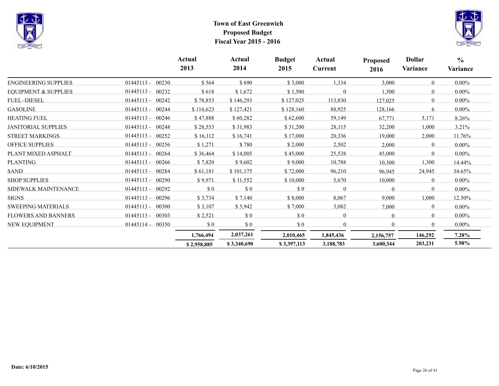



|                                 |                       | Actual<br>2013 | Actual<br>2014 | <b>Budget</b><br>2015       | Actual<br>Current | <b>Proposed</b><br>2016 | <b>Dollar</b><br>Variance | $\frac{0}{0}$<br>Variance |
|---------------------------------|-----------------------|----------------|----------------|-----------------------------|-------------------|-------------------------|---------------------------|---------------------------|
| <b>ENGINEERING SUPPLIES</b>     | $01445113 -$<br>00230 | \$564          | \$690          | \$3,000                     | 1,334             | 3,000                   | $\theta$                  | $0.00\%$                  |
| <b>EQUIPMENT &amp; SUPPLIES</b> | 01445113 - 00232      | \$618          | \$1,672        | \$1,500                     | $\mathbf{0}$      | 1,500                   | $\theta$                  | $0.00\%$                  |
| <b>FUEL-DIESEL</b>              | 01445113 - 00242      | \$78,853       | \$146,293      | \$127,025                   | 113,830           | 127,025                 | $\theta$                  | $0.00\%$                  |
| <b>GASOLINE</b>                 | $01445113 -$<br>00244 | \$116,623      | \$127,421      | \$128,160                   | 88,925            | 128,166                 | 6                         | $0.00\%$                  |
| <b>HEATING FUEL</b>             | $01445113 -$<br>00246 | \$47,888       | \$60,282       | \$62,600                    | 59,149            | 67,771                  | 5,171                     | 8.26%                     |
| <b>JANITORIAL SUPPLIES</b>      | $01445113 -$<br>00248 | \$28,553       | \$31,983       | \$31,200                    | 28,115            | 32,200                  | 1,000                     | 3.21%                     |
| <b>STREET MARKINGS</b>          | 01445113 - 00252      | \$16,112       | \$16,741       | \$17,000                    | 20,336            | 19,000                  | 2,000                     | 11.76%                    |
| <b>OFFICE SUPPLIES</b>          | $01445113 -$<br>00256 | \$1,271        | \$780          | \$2,000                     | 2,502             | 2,000                   | $\Omega$                  | $0.00\%$                  |
| PLANT MIXED ASPHALT             | 01445113 - 00264      | \$36,464       | \$14,005       | \$45,000                    | 25,538            | 45,000                  | $\Omega$                  | $0.00\%$                  |
| <b>PLANTING</b>                 | 01445113 - 00266      | \$7,820        | \$9,602        | \$9,000                     | 10,788            | 10,300                  | 1,300                     | 14.44%                    |
| <b>SAND</b>                     | 01445113 - 00284      | \$61,181       | \$101,175      | \$72,000                    | 96,210            | 96,945                  | 24,945                    | 34.65%                    |
| <b>SHOP SUPPLIES</b>            | $01445113 -$<br>00290 | \$9,971        | \$11,552       | \$10,000                    | 5,670             | 10,000                  | $\Omega$                  | $0.00\%$                  |
| SIDEWALK MAINTENANCE            | 00292<br>$01445113 -$ | \$0            | \$0            | \$0                         | $\mathbf{0}$      | $\Omega$                | $\Omega$                  | $0.00\%$                  |
| <b>SIGNS</b>                    | 01445113 - 00296      | \$3,734        | \$7,140        | \$8,000                     | 8,067             | 9,000                   | 1,000                     | 12.50%                    |
| <b>SWEEPING MATERIALS</b>       | $01445113 -$<br>00300 | \$3,107        | \$5,942        | \$7,000                     | 3,082             | 7,000                   | $\Omega$                  | $0.00\%$                  |
| <b>FLOWERS AND BANNERS</b>      | $01445113 -$<br>00303 | \$2,521        | \$0            | $\boldsymbol{\mathsf{S}}$ 0 | $\mathbf{0}$      | $\theta$                | $\theta$                  | $0.00\%$                  |
| <b>NEW EQUIPMENT</b>            | $01445114 -$<br>00350 | \$0            | \$0            | \$0                         | $\mathbf{0}$      | $\theta$                | $\Omega$                  | $0.00\%$                  |
|                                 |                       | 1,766,494      | 2,037,261      | 2,010,465                   | 1,845,436         | 2,156,757               | 146,292                   | 7.28%                     |
|                                 |                       | \$2,958,885    | \$3,340,690    | \$3,397,113                 | 3,188,783         | 3,600,344               | 203,231                   | 5.98%                     |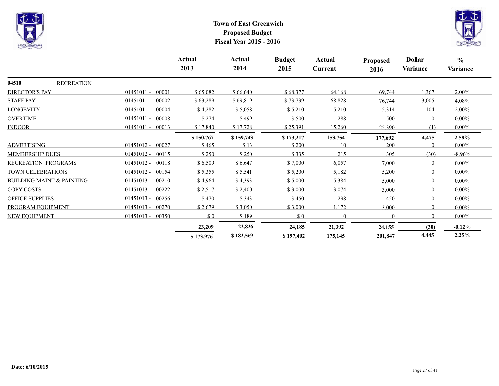



|                                      |              |                    | Actual<br>2013 | Actual<br>2014 | <b>Budget</b><br>2015 | Actual<br>Current | <b>Proposed</b><br>2016 | <b>Dollar</b><br>Variance | $\frac{0}{0}$<br>Variance |
|--------------------------------------|--------------|--------------------|----------------|----------------|-----------------------|-------------------|-------------------------|---------------------------|---------------------------|
| 04510<br><b>RECREATION</b>           |              |                    |                |                |                       |                   |                         |                           |                           |
| <b>DIRECTOR'S PAY</b>                | $01451011 -$ | 00001              | \$65,082       | \$66,640       | \$68,377              | 64,168            | 69,744                  | 1,367                     | $2.00\%$                  |
| <b>STAFF PAY</b>                     | $01451011 -$ | 00002              | \$63,289       | \$69,819       | \$73,739              | 68,828            | 76,744                  | 3,005                     | 4.08%                     |
| <b>LONGEVITY</b>                     | $01451011 -$ | 00004              | \$4,282        | \$5,058        | \$5,210               | 5,210             | 5,314                   | 104                       | $2.00\%$                  |
| <b>OVERTIME</b>                      | $01451011 -$ | 00008              | \$274          | \$499          | \$500                 | 288               | 500                     | $\overline{0}$            | $0.00\%$                  |
| <b>INDOOR</b>                        |              | 01451011 - 00013   | \$17,840       | \$17,728       | \$25,391              | 15,260            | 25,390                  | (1)                       | $0.00\%$                  |
|                                      |              |                    | \$150,767      | \$159,743      | \$173,217             | 153,754           | 177,692                 | 4,475                     | 2.58%                     |
| <b>ADVERTISING</b>                   | $01451012 -$ | 00027              | \$465          | \$13           | \$200                 | 10                | 200                     | $\theta$                  | $0.00\%$                  |
| MEMBERSHIP DUES                      | $01451012 -$ | 00115              | \$250          | \$250          | \$335                 | 215               | 305                     | (30)                      | $-8.96%$                  |
| RECREATION PROGRAMS                  | $01451012 -$ | 00118              | \$6,509        | \$6,647        | \$7,000               | 6,057             | 7,000                   | $\theta$                  | $0.00\%$                  |
| TOWN CELEBRATIONS                    | $01451012 -$ | 00154              | \$5,355        | \$5,541        | \$5,200               | 5,182             | 5,200                   | $\theta$                  | $0.00\%$                  |
| <b>BUILDING MAINT &amp; PAINTING</b> | $01451013 -$ | 00210              | \$4,964        | \$4,393        | \$5,000               | 5,384             | 5,000                   | $\mathbf{0}$              | $0.00\%$                  |
| COPY COSTS                           | $01451013 -$ | 00222              | \$2,517        | \$2,400        | \$3,000               | 3,074             | 3,000                   | $\overline{0}$            | $0.00\%$                  |
| <b>OFFICE SUPPLIES</b>               | $01451013 -$ | 00256              | \$470          | \$343          | \$450                 | 298               | 450                     | $\mathbf{0}$              | $0.00\%$                  |
| PROGRAM EQUIPMENT                    | $01451013 -$ | 00270              | \$2,679        | \$3,050        | \$3,000               | 1,172             | 3,000                   | $\overline{0}$            | $0.00\%$                  |
| <b>NEW EQUIPMENT</b>                 |              | $01451013 - 00350$ | \$0            | \$189          | \$0                   | $\theta$          | $\Omega$                | $\mathbf{0}$              | $0.00\%$                  |
|                                      |              |                    | 23,209         | 22,826         | 24,185                | 21,392            | 24,155                  | (30)                      | $-0.12\%$                 |
|                                      |              |                    | \$173,976      | \$182,569      | \$197,402             | 175,145           | 201,847                 | 4,445                     | 2.25%                     |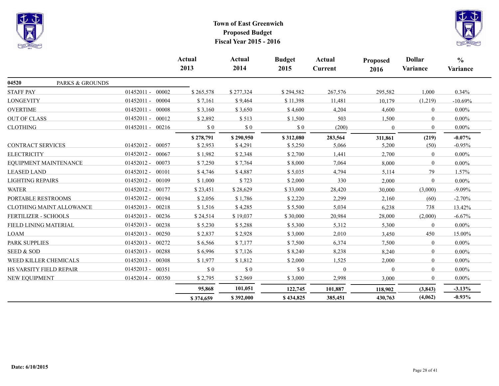



|                                 |                       | <b>Actual</b><br>2013 | <b>Actual</b><br>2014 | <b>Budget</b><br>2015 | <b>Actual</b><br>Current | <b>Proposed</b><br>2016 | <b>Dollar</b><br>Variance | $\frac{0}{0}$<br>Variance |
|---------------------------------|-----------------------|-----------------------|-----------------------|-----------------------|--------------------------|-------------------------|---------------------------|---------------------------|
| 04520<br>PARKS & GROUNDS        |                       |                       |                       |                       |                          |                         |                           |                           |
| <b>STAFF PAY</b>                | $01452011 - 00002$    | \$265,578             | \$277,324             | \$294,582             | 267,576                  | 295,582                 | 1,000                     | 0.34%                     |
| <b>LONGEVITY</b>                | 01452011 - 00004      | \$7,161               | \$9,464               | \$11,398              | 11,481                   | 10,179                  | (1,219)                   | $-10.69%$                 |
| <b>OVERTIME</b>                 | $01452011 -$<br>00008 | \$3,160               | \$3,650               | \$4,600               | 4,204                    | 4,600                   | $\overline{0}$            | $0.00\%$                  |
| <b>OUT OF CLASS</b>             | 01452011 - 00012      | \$2,892               | \$513                 | \$1,500               | 503                      | 1,500                   | $\theta$                  | $0.00\%$                  |
| <b>CLOTHING</b>                 | 01452011 - 00216      | \$0                   | $\$$ 0                | $\$$ 0                | (200)                    | $\theta$                | $\Omega$                  | $0.00\%$                  |
|                                 |                       | \$278,791             | \$290,950             | \$312,080             | 283,564                  | 311,861                 | (219)                     | $-0.07%$                  |
| <b>CONTRACT SERVICES</b>        | 01452012 - 00057      | \$2,953               | \$4,291               | \$5,250               | 5,066                    | 5,200                   | (50)                      | $-0.95%$                  |
| <b>ELECTRICITY</b>              | $01452012 -$<br>00067 | \$1,982               | \$2,348               | \$2,700               | 1,441                    | 2,700                   | $\overline{0}$            | $0.00\%$                  |
| EQUIPMENT MAINTENANCE           | $01452012 -$<br>00073 | \$7,250               | \$7,764               | \$8,000               | 7,064                    | 8,000                   | $\theta$                  | $0.00\%$                  |
| <b>LEASED LAND</b>              | 01452012 - 00101      | \$4,746               | \$4,887               | \$5,035               | 4,794                    | 5,114                   | 79                        | 1.57%                     |
| <b>LIGHTING REPAIRS</b>         | 01452012 - 00109      | \$1,000               | \$723                 | \$2,000               | 330                      | 2,000                   | $\overline{0}$            | $0.00\%$                  |
| <b>WATER</b>                    | $01452012 -$<br>00177 | \$23,451              | \$28,629              | \$33,000              | 28,420                   | 30,000                  | (3,000)                   | $-9.09%$                  |
| PORTABLE RESTROOMS              | 00194<br>$01452012 -$ | \$2,056               | \$1,786               | \$2,220               | 2,299                    | 2,160                   | (60)                      | $-2.70%$                  |
| <b>CLOTHING MAINT ALLOWANCE</b> | 01452013 - 00218      | \$1,516               | \$4,285               | \$5,500               | 5,034                    | 6,238                   | 738                       | 13.42%                    |
| FERTILIZER - SCHOOLS            | $01452013 -$<br>00236 | \$24,514              | \$19,037              | \$30,000              | 20,984                   | 28,000                  | (2,000)                   | $-6.67%$                  |
| FIELD LINING MATERIAL           | $01452013 -$<br>00238 | \$5,230               | \$5,288               | \$5,300               | 5,312                    | 5,300                   | $\theta$                  | $0.00\%$                  |
| <b>LOAM</b>                     | 01452013 - 00250      | \$2,837               | \$2,928               | \$3,000               | 2,010                    | 3,450                   | 450                       | 15.00%                    |
| PARK SUPPLIES                   | $01452013 -$<br>00272 | \$6,566               | \$7,177               | \$7,500               | 6,374                    | 7,500                   | $\overline{0}$            | $0.00\%$                  |
| <b>SEED &amp; SOD</b>           | $01452013 -$<br>00288 | \$6,996               | \$7,126               | \$8,240               | 8,238                    | 8,240                   | $\overline{0}$            | $0.00\%$                  |
| WEED KILLER CHEMICALS           | $01452013 -$<br>00308 | \$1,977               | \$1,812               | \$2,000               | 1,525                    | 2,000                   | $\overline{0}$            | $0.00\%$                  |
| HS VARSITY FIELD REPAIR         | $01452013 -$<br>00351 | \$0                   | \$0                   | \$0                   | $\Omega$                 | $\Omega$                | $\theta$                  | $0.00\%$                  |
| NEW EQUIPMENT                   | 01452014 - 00350      | \$2,795               | \$2,969               | \$3,000               | 2,998                    | 3,000                   | $\Omega$                  | $0.00\%$                  |
|                                 |                       | 95,868                | 101,051               | 122,745               | 101,887                  | 118,902                 | (3, 843)                  | $-3.13%$                  |
|                                 |                       | \$374,659             | \$392,000             | \$434,825             | 385,451                  | 430,763                 | (4,062)                   | $-0.93%$                  |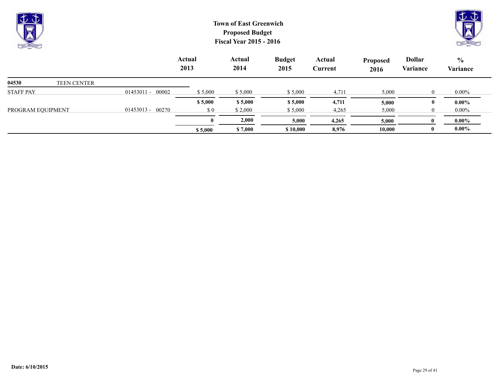

**\$ 5,000 \$ 7,000 \$ 10,000 8,976 10,000 0 0.00% 0 2,000 5,000 4,265 5,000 0 0.00%** 

PROGRAM EQUIPMENT 01453013 - 00270 \$ 0 \$ 2,000 \$ 5,000 4,265 5,000 0 0.00%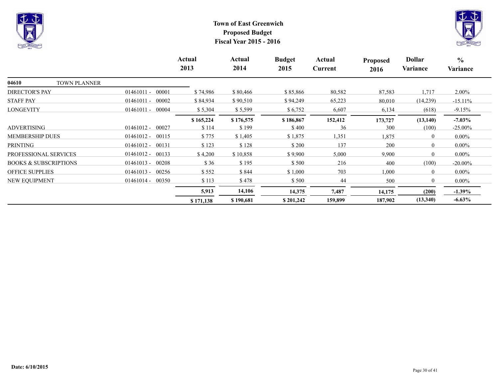



|                                  |                       | Actual<br>2013 | Actual<br>2014 | <b>Budget</b><br>2015 | Actual<br>Current | <b>Proposed</b><br>2016 | <b>Dollar</b><br>Variance | $\frac{6}{6}$<br>Variance |
|----------------------------------|-----------------------|----------------|----------------|-----------------------|-------------------|-------------------------|---------------------------|---------------------------|
| 04610<br><b>TOWN PLANNER</b>     |                       |                |                |                       |                   |                         |                           |                           |
| <b>DIRECTOR'S PAY</b>            | $01461011 -$<br>00001 | \$74,986       | \$80,466       | \$85,866              | 80,582            | 87,583                  | 1,717                     | $2.00\%$                  |
| <b>STAFF PAY</b>                 | $01461011 -$<br>00002 | \$84,934       | \$90,510       | \$94,249              | 65,223            | 80,010                  | (14,239)                  | $-15.11%$                 |
| <b>LONGEVITY</b>                 | 00004<br>$01461011 -$ | \$5,304        | \$5,599        | \$6,752               | 6,607             | 6,134                   | (618)                     | $-9.15%$                  |
|                                  |                       | \$165,224      | \$176,575      | \$186,867             | 152,412           | 173,727                 | (13, 140)                 | $-7.03\%$                 |
| <b>ADVERTISING</b>               | 00027<br>$01461012 -$ | \$114          | \$199          | \$400                 | 36                | 300                     | (100)                     | $-25.00\%$                |
| <b>MEMBERSHIP DUES</b>           | $01461012 -$<br>00115 | \$775          | \$1,405        | \$1,875               | 1,351             | 1,875                   | $\theta$                  | $0.00\%$                  |
| PRINTING                         | $01461012 - 00131$    | \$123          | \$128          | \$200                 | 137               | 200                     | $\overline{0}$            | $0.00\%$                  |
| PROFESSIONAL SERVICES            | $01461012 -$<br>00133 | \$4,200        | \$10,858       | \$9,900               | 5,000             | 9,900                   | $\theta$                  | $0.00\%$                  |
| <b>BOOKS &amp; SUBSCRIPTIONS</b> | $01461013 -$<br>00208 | \$36           | \$195          | \$500                 | 216               | 400                     | (100)                     | $-20.00\%$                |
| <b>OFFICE SUPPLIES</b>           | 00256<br>$01461013 -$ | \$552          | \$844          | \$1,000               | 703               | 1,000                   | $\overline{0}$            | $0.00\%$                  |
| NEW EQUIPMENT                    | $01461014 - 00350$    | \$113          | \$478          | \$500                 | 44                | 500                     | $\theta$                  | $0.00\%$                  |
|                                  |                       | 5,913          | 14,106         | 14,375                | 7,487             | 14,175                  | (200)                     | $-1.39\%$                 |
|                                  |                       | \$171,138      | \$190,681      | \$201,242             | 159,899           | 187,902                 | (13,340)                  | $-6.63\%$                 |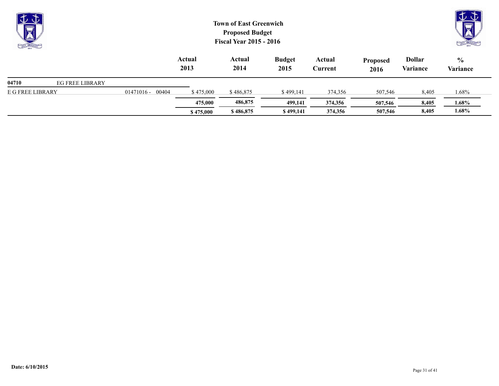| 土土<br><b>Report</b><br>$\overline{\mathbf{v}}$<br><b>CALL OFFICIAL</b> |                        |                       |                | <b>Town of East Greenwich</b><br><b>Proposed Budget</b><br><b>Fiscal Year 2015 - 2016</b> |                       |                   |                  |                           | むむ<br>प्रज<br><b>CALL ON THE CALL OF THE CALL OF THE CALL OF THE CALL OF THE CALL OF THE CALL OF THE CALL OF THE CALL OF THE CALL OF THE CALL OF THE CALL OF THE CALL OF THE CALL OF THE CALL OF THE CALL OF THE CALL OF THE CALL OF THE CALL </b> |
|------------------------------------------------------------------------|------------------------|-----------------------|----------------|-------------------------------------------------------------------------------------------|-----------------------|-------------------|------------------|---------------------------|----------------------------------------------------------------------------------------------------------------------------------------------------------------------------------------------------------------------------------------------------|
|                                                                        |                        |                       | Actual<br>2013 | Actual<br>2014                                                                            | <b>Budget</b><br>2015 | Actual<br>Current | Proposed<br>2016 | <b>Dollar</b><br>Variance | $\frac{6}{6}$<br>Variance                                                                                                                                                                                                                          |
| 04710                                                                  | <b>EG FREE LIBRARY</b> |                       |                |                                                                                           |                       |                   |                  |                           |                                                                                                                                                                                                                                                    |
| E G FREE LIBRARY                                                       |                        | 00404<br>$01471016 -$ | \$475,000      | \$486,875                                                                                 | \$499,141             | 374,356           | 507,546          | 8,405                     | 1.68%                                                                                                                                                                                                                                              |
|                                                                        |                        |                       | 475,000        | 486,875                                                                                   | 499,141               | 374,356           | 507,546          | 8,405                     | $1.68\%$                                                                                                                                                                                                                                           |
|                                                                        |                        |                       | \$475,000      | \$486,875                                                                                 | \$499,141             | 374,356           | 507,546          | 8,405                     | 1.68%                                                                                                                                                                                                                                              |

 $\sim$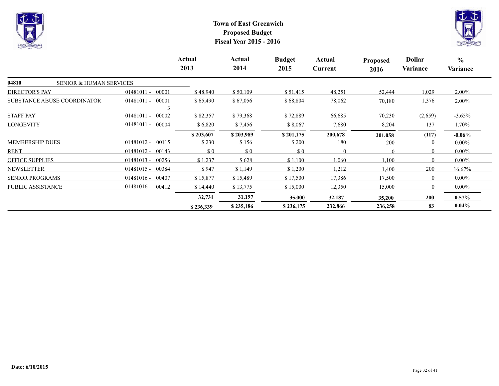



|                                             |                       | Actual<br>2013 | Actual<br>2014                                   | <b>Budget</b><br>2015       | Actual<br>Current | <b>Proposed</b><br>2016 | <b>Dollar</b><br>Variance | $\frac{6}{6}$<br>Variance |
|---------------------------------------------|-----------------------|----------------|--------------------------------------------------|-----------------------------|-------------------|-------------------------|---------------------------|---------------------------|
| 04810<br><b>SENIOR &amp; HUMAN SERVICES</b> |                       |                |                                                  |                             |                   |                         |                           |                           |
| <b>DIRECTOR'S PAY</b>                       | 00001<br>$01481011 -$ | \$48,940       | \$50,109                                         | \$51,415                    | 48,251            | 52,444                  | 1,029                     | $2.00\%$                  |
| <b>SUBSTANCE ABUSE COORDINATOR</b>          | 00001<br>$01481011 -$ | \$65,490       | \$67,056                                         | \$68,804                    | 78,062            | 70,180                  | 1,376                     | $2.00\%$                  |
| <b>STAFF PAY</b>                            | $01481011 -$<br>00002 | \$82,357       | \$79,368                                         | \$72,889                    | 66,685            | 70,230                  | (2,659)                   | $-3.65\%$                 |
| <b>LONGEVITY</b>                            | 01481011 - 00004      | \$6,820        | \$7,456                                          | \$8,067                     | 7,680             | 8,204                   | 137                       | 1.70%                     |
|                                             |                       | \$203,607      | \$203,989                                        | \$201,175                   | 200,678           | 201,058                 | (117)                     | $-0.06\%$                 |
| <b>MEMBERSHIP DUES</b>                      | 00115<br>$01481012 -$ | \$230          | \$156                                            | \$200                       | 180               | 200                     | $\Omega$                  | $0.00\%$                  |
| <b>RENT</b>                                 | $01481012 -$<br>00143 | \$0            | $\boldsymbol{\mathsf{S}}\boldsymbol{\mathsf{0}}$ | $\boldsymbol{\mathsf{S}}$ 0 | $\theta$          | $\theta$                | $\Omega$                  | $0.00\%$                  |
| <b>OFFICE SUPPLIES</b>                      | 00256<br>$01481013 -$ | \$1,237        | \$628                                            | \$1,100                     | 1,060             | 1,100                   | $\Omega$                  | $0.00\%$                  |
| <b>NEWSLETTER</b>                           | $01481015 -$<br>00384 | \$947          | \$1,149                                          | \$1,200                     | 1,212             | 1,400                   | 200                       | 16.67%                    |
| <b>SENIOR PROGRAMS</b>                      | $01481016 -$<br>00407 | \$15,877       | \$15,489                                         | \$17,500                    | 17,386            | 17,500                  | $\theta$                  | $0.00\%$                  |
| PUBLIC ASSISTANCE                           | 00412<br>$01481016 -$ | \$14,440       | \$13,775                                         | \$15,000                    | 12,350            | 15,000                  | $\overline{0}$            | $0.00\%$                  |
|                                             |                       | 32,731         | 31,197                                           | 35,000                      | 32,187            | 35,200                  | 200                       | $0.57\%$                  |
|                                             |                       | \$236,339      | \$235,186                                        | \$236,175                   | 232,866           | 236,258                 | 83                        | $0.04\%$                  |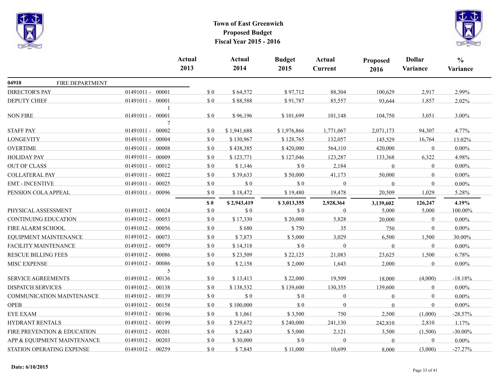

|                             |                                  |                       | <b>Actual</b><br>2013 | <b>Actual</b><br>2014 | <b>Budget</b><br>2015 | <b>Actual</b><br>Current | <b>Proposed</b><br>2016 | <b>Dollar</b><br>Variance | $\frac{0}{0}$<br>Variance |
|-----------------------------|----------------------------------|-----------------------|-----------------------|-----------------------|-----------------------|--------------------------|-------------------------|---------------------------|---------------------------|
| 04910                       | FIRE DEPARTMENT                  |                       |                       |                       |                       |                          |                         |                           |                           |
| <b>DIRECTOR'S PAY</b>       |                                  | 01491011 - 00001      | $\$$ 0                | \$64,572              | \$97,712              | 88,304                   | 100,629                 | 2,917                     | 2.99%                     |
| <b>DEPUTY CHIEF</b>         |                                  | 01491011 - 00001      | \$0                   | \$88,588              | \$91,787              | 85,557                   | 93,644                  | 1,857                     | 2.02%                     |
| <b>NON FIRE</b>             |                                  | 01491011 - 00001      | \$0                   | \$96,196              | \$101,699             | 101,148                  | 104,750                 | 3,051                     | 3.00%                     |
| <b>STAFF PAY</b>            |                                  | 7<br>01491011 - 00002 | \$0                   | \$1,941,688           | \$1,976,866           | 1,771,067                | 2,071,173               | 94,307                    | 4.77%                     |
| <b>LONGEVITY</b>            |                                  | 01491011 - 00004      | \$0                   | \$130,967             | \$128,765             | 132,057                  | 145,529                 | 16,764                    | 13.02%                    |
| <b>OVERTIME</b>             |                                  | 01491011 - 00008      | \$0                   | \$438,385             | \$420,000             | 564,110                  | 420,000                 | $\mathbf{0}$              | $0.00\%$                  |
| <b>HOLIDAY PAY</b>          |                                  | 01491011 - 00009      | \$0                   | \$123,771             | \$127,046             | 123,287                  | 133,368                 | 6,322                     | 4.98%                     |
| <b>OUT OF CLASS</b>         |                                  | 01491011 - 00012      | \$0                   | \$1,146               | \$0                   | 2,184                    | $\overline{0}$          | $\boldsymbol{0}$          | $0.00\%$                  |
| <b>COLLATERAL PAY</b>       |                                  | 01491011 - 00022      | \$0                   | \$39,633              | \$50,000              | 41,173                   | 50,000                  | $\boldsymbol{0}$          | $0.00\%$                  |
| <b>EMT - INCENTIVE</b>      |                                  | 01491011 - 00025      | \$0                   | $\sqrt{3}0$           | \$0                   | $\overline{0}$           | $\theta$                | $\mathbf{0}$              | $0.00\%$                  |
| PENSION COLA APPEAL         |                                  | 01491011 - 00096      | \$0                   | \$18,472              | \$19,480              | 19,478                   | 20,509                  | 1,029                     | 5.28%                     |
|                             |                                  |                       | S <sub>0</sub>        | \$2,943,419           | \$3,013,355           | 2,928,364                | 3,139,602               | 126,247                   | 4.19%                     |
| PHYSICAL ASSESSMENT         |                                  | 01491012 - 00024      | \$0                   | \$0                   | \$0                   | $\Omega$                 | 5,000                   | 5,000                     | 100.00%                   |
| <b>CONTINUING EDUCATION</b> |                                  | 01491012 - 00053      | \$0                   | \$17,330              | \$20,000              | 5,828                    | 20,000                  | $\boldsymbol{0}$          | $0.00\%$                  |
| FIRE ALARM SCHOOL           |                                  | $01491012 - 00056$    | \$0                   | \$680                 | \$750                 | 35                       | 750                     | $\mathbf{0}$              | $0.00\%$                  |
|                             | EQUIPMENT MAINTENANCE            | 01491012 - 00073      | \$0                   | \$7,873               | \$5,000               | 3,029                    | 6,500                   | 1,500                     | 30.00%                    |
| FACILITY MAINTENANCE        |                                  | 01491012 - 00079      | \$0                   | \$14,318              | \$0                   | $\Omega$                 | $\theta$                | $\mathbf{0}$              | $0.00\%$                  |
| <b>RESCUE BILLING FEES</b>  |                                  | 01491012 - 00086      | \$0                   | \$23,509              | \$22,125              | 21,083                   | 23,625                  | 1,500                     | 6.78%                     |
| <b>MISC EXPENSE</b>         |                                  | 01491012 - 00086      | \$0                   | \$2,158               | \$2,000               | 1,643                    | 2,000                   | $\mathbf{0}$              | $0.00\%$                  |
|                             |                                  | 5                     |                       |                       |                       |                          |                         |                           |                           |
| SERVICE AGREEMENTS          |                                  | 01491012 - 00136      | \$0                   | \$13,413              | \$22,000              | 19,509                   | 18,000                  | (4,000)                   | $-18.18%$                 |
| <b>DISPATCH SERVICES</b>    |                                  | 01491012 - 00138      | \$0                   | \$138,532             | \$139,600             | 130,355                  | 139,600                 | $\boldsymbol{0}$          | $0.00\%$                  |
|                             | <b>COMMUNICATION MAINTENANCE</b> | 01491012 - 00139      | \$0                   | $\sqrt{3}0$           | \$0                   | $\mathbf{0}$             | $\overline{0}$          | $\mathbf{0}$              | $0.00\%$                  |
| <b>OPEB</b>                 |                                  | 01491012 - 00158      | \$0                   | \$100,000             | \$0                   | $\Omega$                 | $\Omega$                | $\mathbf{0}$              | $0.00\%$                  |
| EYE EXAM                    |                                  | 01491012 - 00196      | \$0                   | \$1,061               | \$3,500               | 750                      | 2,500                   | (1,000)                   | $-28.57%$                 |
| HYDRANT RENTALS             |                                  | 01491012 - 00199      | \$0                   | \$239,672             | \$240,000             | 241,130                  | 242,810                 | 2,810                     | 1.17%                     |
|                             | FIRE PREVENTION & EDUCATION      | 01491012 - 00201      | $\$$ 0                | \$2,683               | \$5,000               | 2,121                    | 3,500                   | (1,500)                   | $-30.00\%$                |
|                             | APP & EQUIPMENT MAINTENANCE      | 01491012 - 00203      | $\Omega$              | \$30,000              | \$0                   | $\Omega$                 | $\theta$                | $\mathbf{0}$              | $0.00\%$                  |
|                             | STATION OPERATING EXPENSE        | 01491012 - 00259      | \$0                   | \$7,845               | \$11,000              | 10,699                   | 8,000                   | (3,000)                   | $-27.27%$                 |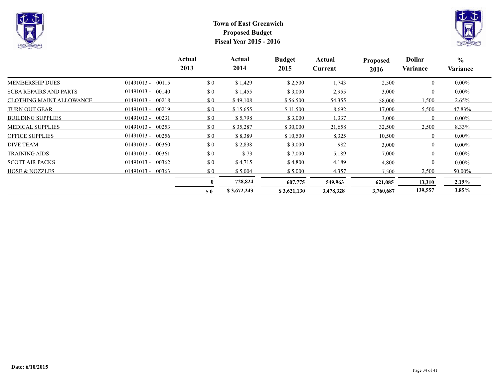



|                                 |                       | Actual<br>2013              | Actual<br>2014 | <b>Budget</b><br>2015 | Actual<br>Current | <b>Proposed</b><br>2016 | <b>Dollar</b><br>Variance | $\frac{6}{6}$<br>Variance |
|---------------------------------|-----------------------|-----------------------------|----------------|-----------------------|-------------------|-------------------------|---------------------------|---------------------------|
| <b>MEMBERSHIP DUES</b>          | $01491013 -$<br>00115 | $\boldsymbol{\mathsf{S}}$ 0 | \$1,429        | \$2,500               | 1,743             | 2,500                   | $\overline{0}$            | $0.00\%$                  |
| <b>SCBA REPAIRS AND PARTS</b>   | $01491013 - 00140$    | \$0                         | \$1,455        | \$3,000               | 2,955             | 3,000                   | $\overline{0}$            | $0.00\%$                  |
| <b>CLOTHING MAINT ALLOWANCE</b> | $01491013 -$<br>00218 | \$0                         | \$49,108       | \$56,500              | 54,355            | 58,000                  | 1,500                     | 2.65%                     |
| <b>TURN OUT GEAR</b>            | $01491013 - 00219$    | \$0                         | \$15,655       | \$11,500              | 8,692             | 17,000                  | 5,500                     | 47.83%                    |
| <b>BUILDING SUPPLIES</b>        | $01491013 - 00231$    | $\boldsymbol{\mathsf{S}}$ 0 | \$5,798        | \$3,000               | 1,337             | 3,000                   | $\overline{0}$            | $0.00\%$                  |
| <b>MEDICAL SUPPLIES</b>         | $01491013 -$<br>00253 | $\Omega$                    | \$35,287       | \$30,000              | 21,658            | 32,500                  | 2,500                     | 8.33%                     |
| <b>OFFICE SUPPLIES</b>          | $01491013 - 00256$    | \$0                         | \$8,389        | \$10,500              | 8,325             | 10,500                  | $\theta$                  | $0.00\%$                  |
| <b>DIVE TEAM</b>                | $01491013 - 00360$    | \$0                         | \$2,838        | \$3,000               | 982               | 3,000                   | $\overline{0}$            | $0.00\%$                  |
| <b>TRAINING AIDS</b>            | 00361<br>$01491013 -$ | $\Omega$                    | \$73           | \$7,000               | 5,189             | 7,000                   | $\theta$                  | $0.00\%$                  |
| <b>SCOTT AIR PACKS</b>          | $01491013 - 00362$    | $\boldsymbol{\mathsf{S}}$ 0 | \$4,715        | \$4,800               | 4,189             | 4,800                   | $\overline{0}$            | $0.00\%$                  |
| <b>HOSE &amp; NOZZLES</b>       | $01491013 - 00363$    | $\boldsymbol{\mathsf{S}}$ 0 | \$5,004        | \$5,000               | 4,357             | 7,500                   | 2,500                     | 50.00%                    |
|                                 |                       |                             | 728,824        | 607,775               | 549,963           | 621,085                 | 13,310                    | $2.19\%$                  |
|                                 |                       | S <sub>0</sub>              | \$3,672,243    | \$3,621,130           | 3,478,328         | 3,760,687               | 139,557                   | 3.85%                     |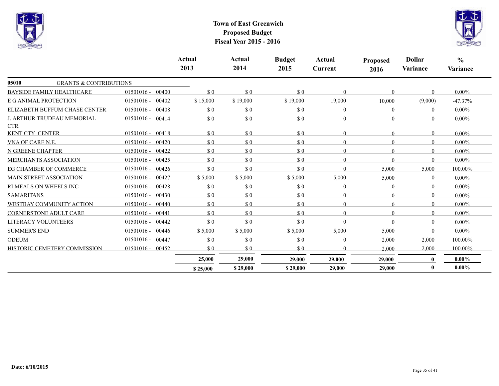



|                                            |                       | Actual<br>2013              | Actual<br>2014              | <b>Budget</b><br>2015 | Actual<br><b>Current</b> | <b>Proposed</b><br>2016 | <b>Dollar</b><br>Variance | $\frac{0}{0}$<br>Variance |
|--------------------------------------------|-----------------------|-----------------------------|-----------------------------|-----------------------|--------------------------|-------------------------|---------------------------|---------------------------|
| 05010<br><b>GRANTS &amp; CONTRIBUTIONS</b> |                       |                             |                             |                       |                          |                         |                           |                           |
| <b>BAYSIDE FAMILY HEALTHCARE</b>           | $01501016 -$<br>00400 | $\Omega$                    | $\sqrt{3}0$                 | $\sqrt{3}0$           | $\Omega$                 | $\Omega$                | $\theta$                  | $0.00\%$                  |
| E G ANIMAL PROTECTION                      | $01501016 -$<br>00402 | \$15,000                    | \$19,000                    | \$19,000              | 19,000                   | 10,000                  | (9,000)                   | $-47.37%$                 |
| ELIZABETH BUFFUM CHASE CENTER              | $01501016 -$<br>00408 | \$0                         | \$0                         | \$0                   | $\Omega$                 | $\Omega$                | $\theta$                  | $0.00\%$                  |
| J. ARTHUR TRUDEAU MEMORIAL<br><b>CTR</b>   | $01501016 -$<br>00414 | \$0                         | $\sqrt{3}0$                 | \$0                   | $\Omega$                 | $\Omega$                | $\Omega$                  | $0.00\%$                  |
| KENT CTY CENTER                            | $01501016 -$<br>00418 | \$0                         | \$0                         | \$0                   | $\overline{0}$           | $\theta$                | $\theta$                  | $0.00\%$                  |
| VNA OF CARE N.E.                           | $01501016 -$<br>00420 | \$0                         | \$0                         | \$0                   | $\overline{0}$           | 0                       | $\theta$                  | $0.00\%$                  |
| N GREENE CHAPTER                           | $01501016 -$<br>00422 | \$0                         | \$0                         | \$0                   | $\Omega$                 | $\Omega$                | $\theta$                  | $0.00\%$                  |
| <b>MERCHANTS ASSOCIATION</b>               | $01501016 -$<br>00425 | $\Omega$                    | $\boldsymbol{\mathsf{S}}$ 0 | \$0                   | $\Omega$                 | $\Omega$                | $\Omega$                  | $0.00\%$                  |
| EG CHAMBER OF COMMERCE                     | $01501016 -$<br>00426 | \$0                         | $\boldsymbol{\mathsf{S}}$ 0 | \$0                   | 0                        | 5,000                   | 5,000                     | 100.00%                   |
| <b>MAIN STREET ASSOCIATION</b>             | 00427<br>$01501016 -$ | \$5,000                     | \$5,000                     | \$5,000               | 5,000                    | 5,000                   | $\theta$                  | $0.00\%$                  |
| RI MEALS ON WHEELS INC                     | 00428<br>$01501016 -$ | $\boldsymbol{\mathsf{S}}$ 0 | \$0                         | \$0                   | $\overline{0}$           | $\Omega$                | $\theta$                  | $0.00\%$                  |
| <b>SAMARITANS</b>                          | 00430<br>$01501016 -$ | \$0                         | \$0                         | \$0                   | $\overline{0}$           | $\Omega$                | $\Omega$                  | $0.00\%$                  |
| WESTBAY COMMUNITY ACTION                   | $01501016 -$<br>00440 | $\Omega$                    | \$0                         | \$0                   | $\Omega$                 | $\Omega$                | $\Omega$                  | $0.00\%$                  |
| <b>CORNERSTONE ADULT CARE</b>              | $01501016 -$<br>00441 | \$0                         | $\boldsymbol{\mathsf{S}}$ 0 | \$0                   | $\Omega$                 | $\Omega$                | $\Omega$                  | $0.00\%$                  |
| <b>LITERACY VOLUNTEERS</b>                 | $01501016 -$<br>00442 | $\Omega$                    | $\sqrt{3}0$                 | \$0                   | $\Omega$                 | $\Omega$                | $\theta$                  | $0.00\%$                  |
| <b>SUMMER'S END</b>                        | $01501016 -$<br>00446 | \$5,000                     | \$5,000                     | \$5,000               | 5,000                    | 5,000                   | $\Omega$                  | $0.00\%$                  |
| <b>ODEUM</b>                               | $01501016 -$<br>00447 | $\boldsymbol{\mathsf{S}}$ 0 | $\sqrt{3}0$                 | $\sqrt{3}0$           | $\overline{0}$           | 2,000                   | 2,000                     | 100.00%                   |
| HISTORIC CEMETERY COMMISSION               | $01501016 -$<br>00452 | \$0                         | \$0                         | \$0                   | 0                        | 2,000                   | 2,000                     | 100.00%                   |
|                                            |                       | 25,000                      | 29,000                      | 29,000                | 29,000                   | 29,000                  | $\mathbf{0}$              | $0.00\%$                  |
|                                            |                       | \$25,000                    | \$29,000                    | \$29,000              | 29,000                   | 29,000                  | $\mathbf{0}$              | $0.00\%$                  |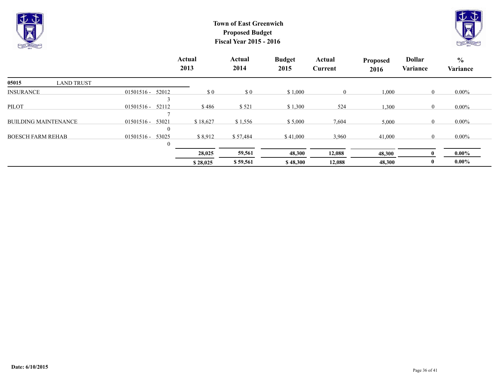



|                             |                       | <b>Actual</b><br>2013 | Actual<br>2014 | <b>Budget</b><br>2015 | Actual<br><b>Current</b> | <b>Proposed</b><br>2016 | <b>Dollar</b><br>Variance | $\frac{6}{10}$<br>Variance |
|-----------------------------|-----------------------|-----------------------|----------------|-----------------------|--------------------------|-------------------------|---------------------------|----------------------------|
| 05015<br><b>LAND TRUST</b>  |                       |                       |                |                       |                          |                         |                           |                            |
| <b>INSURANCE</b>            | $01501516 -$<br>52012 | \$0                   | $\sqrt{3}0$    | \$1,000               | $\overline{0}$           | 1,000                   | $\mathbf{0}$              | $0.00\%$                   |
| <b>PILOT</b>                | $01501516 -$<br>52112 | \$486                 | \$521          | \$1,300               | 524                      | 1,300                   | $\mathbf{0}$              | $0.00\%$                   |
| <b>BUILDING MAINTENANCE</b> | 53021<br>$01501516 -$ | \$18,627              | \$1,556        | \$5,000               | 7,604                    | 5,000                   | $\mathbf{0}$              | $0.00\%$                   |
| <b>BOESCH FARM REHAB</b>    | 53025<br>$01501516 -$ | \$8,912               | \$57,484       | \$41,000              | 3,960                    | 41,000                  | $\mathbf{0}$              | $0.00\%$                   |
|                             |                       | 28,025                | 59,561         | 48,300                | 12,088                   | 48,300                  |                           | $0.00\%$                   |
|                             |                       | \$28,025              | \$59,561       | \$48,300              | 12,088                   | 48,300                  | $\mathbf{0}$              | $0.00\%$                   |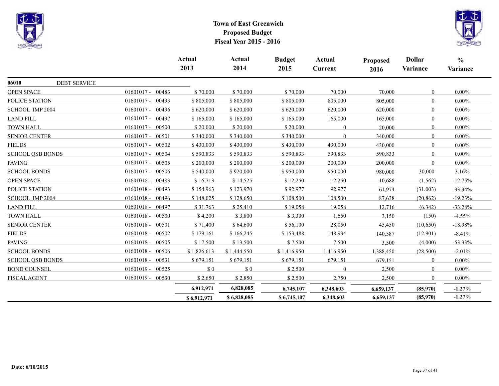



|                              |                       | <b>Actual</b><br>2013 | Actual<br>2014 | <b>Budget</b><br>2015 | Actual<br><b>Current</b> | Proposed<br>2016 | <b>Dollar</b><br>Variance | $\frac{6}{6}$<br>Variance |
|------------------------------|-----------------------|-----------------------|----------------|-----------------------|--------------------------|------------------|---------------------------|---------------------------|
| 06010<br><b>DEBT SERVICE</b> |                       |                       |                |                       |                          |                  |                           |                           |
| <b>OPEN SPACE</b>            | 01601017 - 00483      | \$70,000              | \$70,000       | \$70,000              | 70,000                   | 70,000           | $\mathbf{0}$              | $0.00\%$                  |
| POLICE STATION               | $01601017 -$<br>00493 | \$805,000             | \$805,000      | \$805,000             | 805,000                  | 805,000          | $\overline{0}$            | $0.00\%$                  |
| SCHOOL IMP 2004              | $01601017 -$<br>00496 | \$620,000             | \$620,000      | \$620,000             | 620,000                  | 620,000          | $\overline{0}$            | $0.00\%$                  |
| <b>LAND FILL</b>             | $01601017 -$<br>00497 | \$165,000             | \$165,000      | \$165,000             | 165,000                  | 165,000          | $\mathbf{0}$              | $0.00\%$                  |
| <b>TOWN HALL</b>             | $01601017 -$<br>00500 | \$20,000              | \$20,000       | \$20,000              | $\Omega$                 | 20,000           | $\overline{0}$            | $0.00\%$                  |
| <b>SENIOR CENTER</b>         | $01601017 -$<br>00501 | \$340,000             | \$340,000      | \$340,000             | $\Omega$                 | 340,000          | $\overline{0}$            | $0.00\%$                  |
| <b>FIELDS</b>                | $01601017 -$<br>00502 | \$430,000             | \$430,000      | \$430,000             | 430,000                  | 430,000          | $\overline{0}$            | $0.00\%$                  |
| <b>SCHOOL QSB BONDS</b>      | 01601017 - 00504      | \$590,833             | \$590,833      | \$590,833             | 590,833                  | 590,833          | $\bf{0}$                  | $0.00\%$                  |
| <b>PAVING</b>                | $01601017 -$<br>00505 | \$200,000             | \$200,000      | \$200,000             | 200,000                  | 200,000          | $\Omega$                  | $0.00\%$                  |
| <b>SCHOOL BONDS</b>          | $01601017 -$<br>00506 | \$540,000             | \$920,000      | \$950,000             | 950,000                  | 980,000          | 30,000                    | 3.16%                     |
| <b>OPEN SPACE</b>            | 01601018 - 00483      | \$16,713              | \$14,525       | \$12,250              | 12,250                   | 10,688           | (1, 562)                  | $-12.75%$                 |
| POLICE STATION               | $01601018 -$<br>00493 | \$154,963             | \$123,970      | \$92,977              | 92,977                   | 61,974           | (31,003)                  | $-33.34\%$                |
| SCHOOL IMP 2004              | $01601018 -$<br>00496 | \$148,025             | \$128,650      | \$108,500             | 108,500                  | 87,638           | (20, 862)                 | $-19.23%$                 |
| <b>LAND FILL</b>             | 01601018 - 00497      | \$31,763              | \$25,410       | \$19,058              | 19,058                   | 12,716           | (6,342)                   | $-33.28%$                 |
| <b>TOWN HALL</b>             | $01601018 -$<br>00500 | \$4,200               | \$3,800        | \$3,300               | 1,650                    | 3,150            | (150)                     | $-4.55%$                  |
| <b>SENIOR CENTER</b>         | $01601018 -$<br>00501 | \$71,400              | \$64,600       | \$56,100              | 28,050                   | 45,450           | (10,650)                  | $-18.98%$                 |
| <b>FIELDS</b>                | $01601018 -$<br>00502 | \$179,161             | \$166,245      | \$153,488             | 148,934                  | 140,587          | (12,901)                  | $-8.41%$                  |
| <b>PAVING</b>                | $01601018 -$<br>00505 | \$17,500              | \$13,500       | \$7,500               | 7,500                    | 3,500            | (4,000)                   | $-53.33\%$                |
| <b>SCHOOL BONDS</b>          | $01601018 -$<br>00506 | \$1,826,613           | \$1,444,550    | \$1,416,950           | 1,416,950                | 1,388,450        | (28,500)                  | $-2.01%$                  |
| <b>SCHOOL QSB BONDS</b>      | $01601018 -$<br>00531 | \$679,151             | \$679,151      | \$679,151             | 679,151                  | 679,151          | $\overline{0}$            | $0.00\%$                  |
| <b>BOND COUNSEL</b>          | $01601019 -$<br>00525 | \$0                   | \$0            | \$2,500               | $\theta$                 | 2,500            | $\overline{0}$            | $0.00\%$                  |
| <b>FISCAL AGENT</b>          | $01601019 - 00530$    | \$2,650               | \$2,850        | \$2,500               | 2,750                    | 2,500            | $\mathbf{0}$              | $0.00\%$                  |
|                              |                       | 6,912,971             | 6,828,085      | 6,745,107             | 6,348,603                | 6,659,137        | (85,970)                  | $-1.27%$                  |
|                              |                       | \$6,912,971           | \$6,828,085    | \$6,745,107           | 6,348,603                | 6,659,137        | (85,970)                  | $-1.27\%$                 |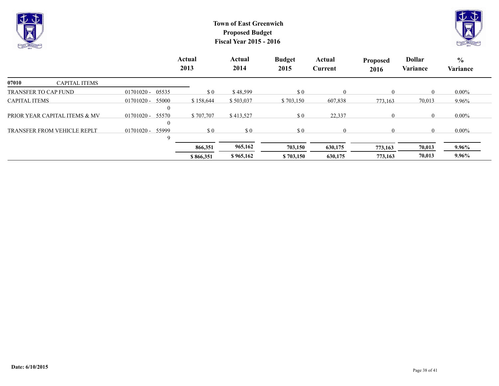



|                                    |                                           | <b>Actual</b><br>2013       | Actual<br>2014 | <b>Budget</b><br>2015 | Actual<br>Current | <b>Proposed</b><br>2016 | <b>Dollar</b><br><b>Variance</b> | $\frac{6}{10}$<br><b>Variance</b> |
|------------------------------------|-------------------------------------------|-----------------------------|----------------|-----------------------|-------------------|-------------------------|----------------------------------|-----------------------------------|
| 07010<br><b>CAPITAL ITEMS</b>      |                                           |                             |                |                       |                   |                         |                                  |                                   |
| <b>TRANSFER TO CAP FUND</b>        | $01701020 - 05535$                        | $\boldsymbol{\mathsf{S}}$ 0 | \$48,599       | \$0                   | $\theta$          | 0                       |                                  | $0.00\%$                          |
| <b>CAPITAL ITEMS</b>               | $01701020 -$<br>55000<br>$\boldsymbol{0}$ | \$158,644                   | \$503,037      | \$703,150             | 607,838           | 773,163                 | 70,013                           | 9.96%                             |
| PRIOR YEAR CAPITAL ITEMS & MV      | 55570<br>01701020 -<br>$\boldsymbol{0}$   | \$707,707                   | \$413,527      | \$0                   | 22,337            | $\Omega$                |                                  | $0.00\%$                          |
| <b>TRANSFER FROM VEHICLE REPLT</b> | $01701020 -$<br>55999<br>9                | $\Omega$                    | \$0            | \$0                   | $\Omega$          | $\Omega$                |                                  | $0.00\%$                          |
|                                    |                                           | 866,351                     | 965,162        | 703,150               | 630,175           | 773,163                 | 70,013                           | 9.96%                             |
|                                    |                                           | \$866,351                   | \$965,162      | \$703,150             | 630,175           | 773,163                 | 70,013                           | $9.96\%$                          |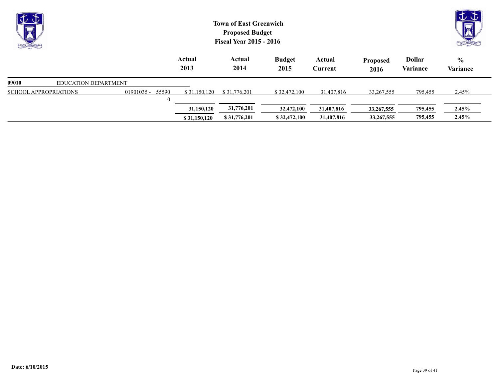| むむ<br>X<br>Print Call Car            |                              | <b>Town of East Greenwich</b><br><b>Proposed Budget</b><br><b>Fiscal Year 2015 - 2016</b> |                |                       |                   |                         |                           |                           |  |  |
|--------------------------------------|------------------------------|-------------------------------------------------------------------------------------------|----------------|-----------------------|-------------------|-------------------------|---------------------------|---------------------------|--|--|
|                                      |                              | Actual<br>2013                                                                            | Actual<br>2014 | <b>Budget</b><br>2015 | Actual<br>Current | <b>Proposed</b><br>2016 | <b>Dollar</b><br>Variance | $\frac{0}{0}$<br>Variance |  |  |
| 09010<br><b>EDUCATION DEPARTMENT</b> |                              |                                                                                           |                |                       |                   |                         |                           |                           |  |  |
| <b>SCHOOL APPROPRIATIONS</b>         | 01901035 - 55590<br>$\theta$ | \$31,150,120                                                                              | \$31,776,201   | \$32,472,100          | 31,407,816        | 33,267,555              | 795,455                   | 2.45%                     |  |  |
|                                      |                              | 31,150,120                                                                                | 31,776,201     | 32,472,100            | 31,407,816        | 33, 267, 555            | 795,455                   | 2.45%                     |  |  |
|                                      |                              | \$31,150,120                                                                              | \$31,776,201   | \$32,472,100          | 31,407,816        | 33, 267, 555            | 795,455                   | 2.45%                     |  |  |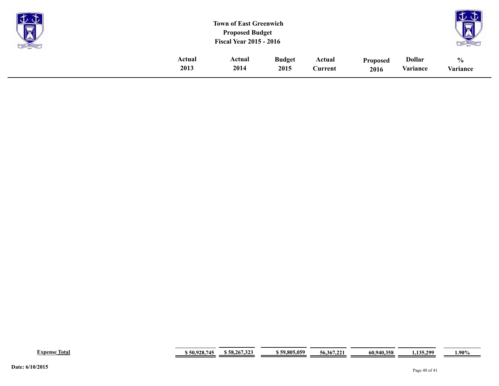| <b>Participate</b><br>$\overline{1}$<br>S |        | <b>Town of East Greenwich</b><br><b>Proposed Budget</b><br><b>Fiscal Year 2015 - 2016</b> |               |         |                 |               | $\sim$<br>--<br>$\overline{\overline{}}$<br>LAI |
|-------------------------------------------|--------|-------------------------------------------------------------------------------------------|---------------|---------|-----------------|---------------|-------------------------------------------------|
|                                           | Actual | Actual                                                                                    | <b>Budget</b> | Actual  | <b>Proposed</b> | <b>Dollar</b> | $\frac{0}{0}$                                   |
|                                           | 2013   | 2014                                                                                      | 2015          | Current | 2016            | Variance      | Variance                                        |

| $\sim$<br>Expense<br>Total | 745<br>50,928. | 358,267,323 | 59,805,059 | .6.367.22 | 60,940,358 | 135.200<br>1.100.4 | $4.90\%$ |
|----------------------------|----------------|-------------|------------|-----------|------------|--------------------|----------|
|----------------------------|----------------|-------------|------------|-----------|------------|--------------------|----------|

 $\sim$